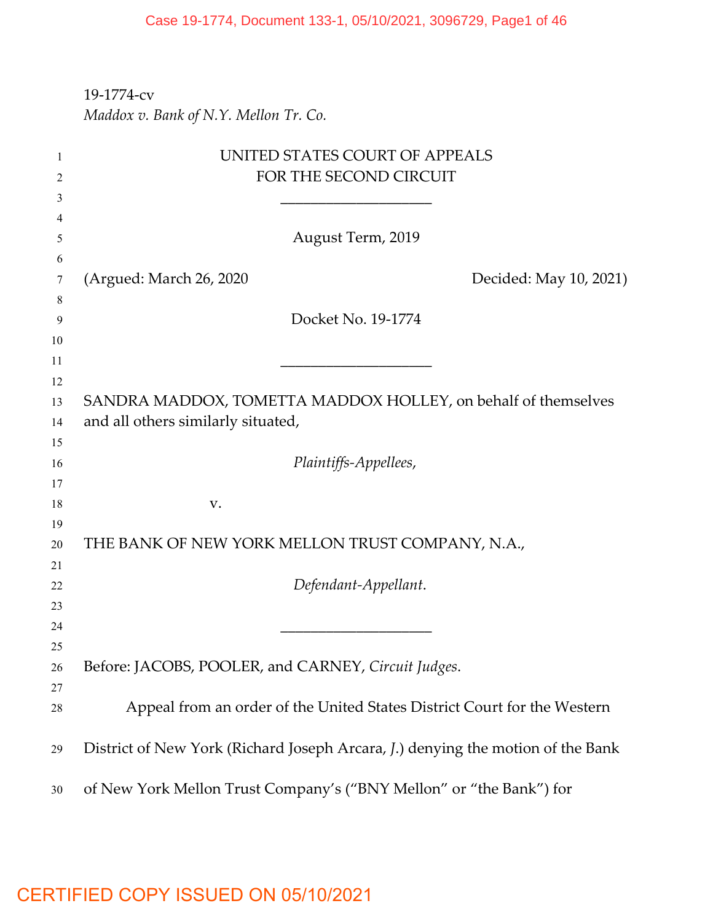### 19-1774-cv

*Maddox v. Bank of N.Y. Mellon Tr. Co.*

| 1  | UNITED STATES COURT OF APPEALS                                                  |
|----|---------------------------------------------------------------------------------|
| 2  | FOR THE SECOND CIRCUIT                                                          |
| 3  |                                                                                 |
| 4  |                                                                                 |
| 5  | August Term, 2019                                                               |
| 6  |                                                                                 |
| 7  | (Argued: March 26, 2020<br>Decided: May 10, 2021)                               |
| 8  |                                                                                 |
| 9  | Docket No. 19-1774                                                              |
| 10 |                                                                                 |
| 11 |                                                                                 |
| 12 |                                                                                 |
| 13 | SANDRA MADDOX, TOMETTA MADDOX HOLLEY, on behalf of themselves                   |
| 14 | and all others similarly situated,                                              |
| 15 |                                                                                 |
| 16 | Plaintiffs-Appellees,                                                           |
| 17 |                                                                                 |
| 18 | V.                                                                              |
| 19 |                                                                                 |
| 20 | THE BANK OF NEW YORK MELLON TRUST COMPANY, N.A.,                                |
| 21 |                                                                                 |
| 22 | Defendant-Appellant.                                                            |
| 23 |                                                                                 |
| 24 |                                                                                 |
| 25 |                                                                                 |
| 26 | Before: JACOBS, POOLER, and CARNEY, Circuit Judges.                             |
| 27 |                                                                                 |
| 28 | Appeal from an order of the United States District Court for the Western        |
| 29 | District of New York (Richard Joseph Arcara, J.) denying the motion of the Bank |
| 30 | of New York Mellon Trust Company's ("BNY Mellon" or "the Bank") for             |

## CERTIFIED COPY ISSUED ON 05/10/2021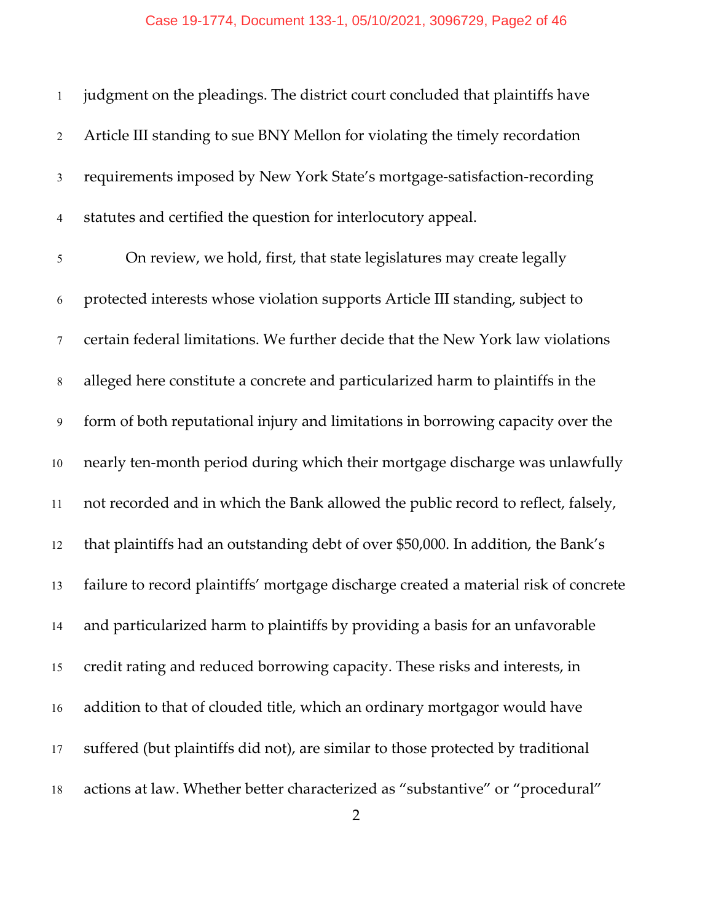| $\mathbf{1}$    | judgment on the pleadings. The district court concluded that plaintiffs have         |
|-----------------|--------------------------------------------------------------------------------------|
| $\overline{2}$  | Article III standing to sue BNY Mellon for violating the timely recordation          |
| $\mathfrak{Z}$  | requirements imposed by New York State's mortgage-satisfaction-recording             |
| $\overline{4}$  | statutes and certified the question for interlocutory appeal.                        |
| 5               | On review, we hold, first, that state legislatures may create legally                |
| 6               | protected interests whose violation supports Article III standing, subject to        |
| $7\phantom{.0}$ | certain federal limitations. We further decide that the New York law violations      |
| $\,8\,$         | alleged here constitute a concrete and particularized harm to plaintiffs in the      |
| 9               | form of both reputational injury and limitations in borrowing capacity over the      |
| 10              | nearly ten-month period during which their mortgage discharge was unlawfully         |
| 11              | not recorded and in which the Bank allowed the public record to reflect, falsely,    |
| 12              | that plaintiffs had an outstanding debt of over \$50,000. In addition, the Bank's    |
| 13              | failure to record plaintiffs' mortgage discharge created a material risk of concrete |
| 14              | and particularized harm to plaintiffs by providing a basis for an unfavorable        |
| 15              | credit rating and reduced borrowing capacity. These risks and interests, in          |
| 16              | addition to that of clouded title, which an ordinary mortgagor would have            |
| 17              | suffered (but plaintiffs did not), are similar to those protected by traditional     |
| 18              | actions at law. Whether better characterized as "substantive" or "procedural"        |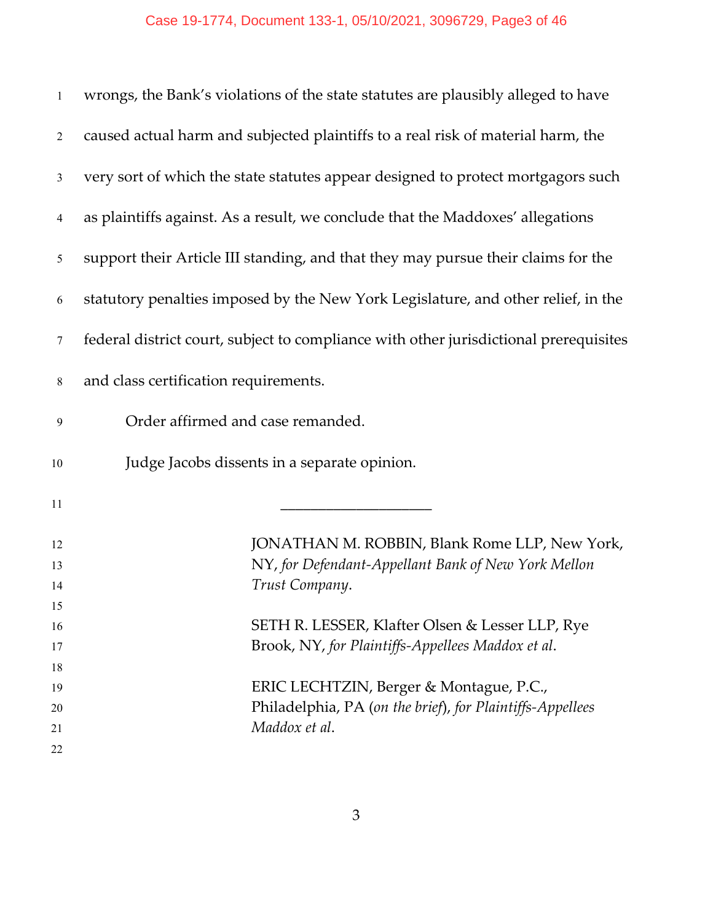| $\mathbf{1}$   | wrongs, the Bank's violations of the state statutes are plausibly alleged to have     |
|----------------|---------------------------------------------------------------------------------------|
| $\overline{2}$ | caused actual harm and subjected plaintiffs to a real risk of material harm, the      |
| $\mathfrak{Z}$ | very sort of which the state statutes appear designed to protect mortgagors such      |
| $\overline{4}$ | as plaintiffs against. As a result, we conclude that the Maddoxes' allegations        |
| 5              | support their Article III standing, and that they may pursue their claims for the     |
| 6              | statutory penalties imposed by the New York Legislature, and other relief, in the     |
| $\tau$         | federal district court, subject to compliance with other jurisdictional prerequisites |
| $\,8\,$        | and class certification requirements.                                                 |
| 9              | Order affirmed and case remanded.                                                     |
| 10             | Judge Jacobs dissents in a separate opinion.                                          |
| 11             |                                                                                       |
| 12             | JONATHAN M. ROBBIN, Blank Rome LLP, New York,                                         |
| 13             | NY, for Defendant-Appellant Bank of New York Mellon                                   |
| 14             | Trust Company.                                                                        |
| 15             |                                                                                       |
| 16             | SETH R. LESSER, Klafter Olsen & Lesser LLP, Rye                                       |
| 17             | Brook, NY, for Plaintiffs-Appellees Maddox et al.                                     |
| 18             |                                                                                       |
| 19             | ERIC LECHTZIN, Berger & Montague, P.C.,                                               |
| 20             | Philadelphia, PA (on the brief), for Plaintiffs-Appellees                             |
| 21             | Maddox et al.                                                                         |
| 22             |                                                                                       |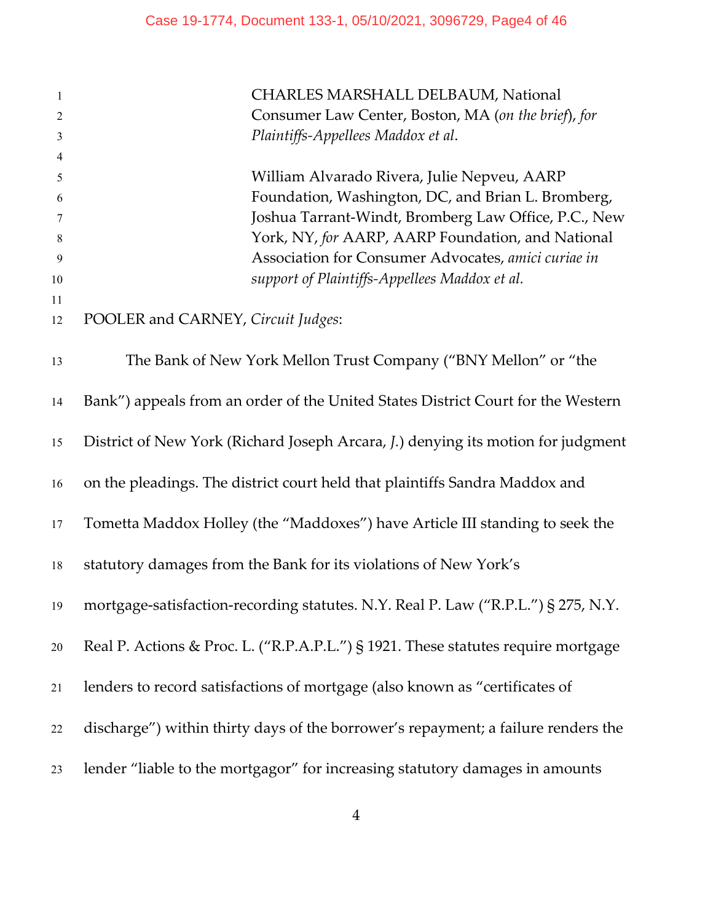| $\mathbf{1}$   | CHARLES MARSHALL DELBAUM, National                                                |
|----------------|-----------------------------------------------------------------------------------|
| $\overline{2}$ | Consumer Law Center, Boston, MA (on the brief), for                               |
| $\mathfrak{Z}$ | Plaintiffs-Appellees Maddox et al.                                                |
| $\overline{4}$ |                                                                                   |
| 5              | William Alvarado Rivera, Julie Nepveu, AARP                                       |
| 6              | Foundation, Washington, DC, and Brian L. Bromberg,                                |
| 7              | Joshua Tarrant-Windt, Bromberg Law Office, P.C., New                              |
| 8              | York, NY, for AARP, AARP Foundation, and National                                 |
| 9              | Association for Consumer Advocates, amici curiae in                               |
| 10             | support of Plaintiffs-Appellees Maddox et al.                                     |
| 11             |                                                                                   |
| 12             | POOLER and CARNEY, Circuit Judges:                                                |
| 13             | The Bank of New York Mellon Trust Company ("BNY Mellon" or "the                   |
| 14             | Bank") appeals from an order of the United States District Court for the Western  |
| 15             | District of New York (Richard Joseph Arcara, J.) denying its motion for judgment  |
| 16             | on the pleadings. The district court held that plaintiffs Sandra Maddox and       |
| 17             | Tometta Maddox Holley (the "Maddoxes") have Article III standing to seek the      |
| 18             | statutory damages from the Bank for its violations of New York's                  |
| 19             | mortgage-satisfaction-recording statutes. N.Y. Real P. Law ("R.P.L.") § 275, N.Y. |
| $20\,$         | Real P. Actions & Proc. L. ("R.P.A.P.L.") § 1921. These statutes require mortgage |
| 21             | lenders to record satisfactions of mortgage (also known as "certificates of       |
| 22             | discharge") within thirty days of the borrower's repayment; a failure renders the |
| 23             | lender "liable to the mortgagor" for increasing statutory damages in amounts      |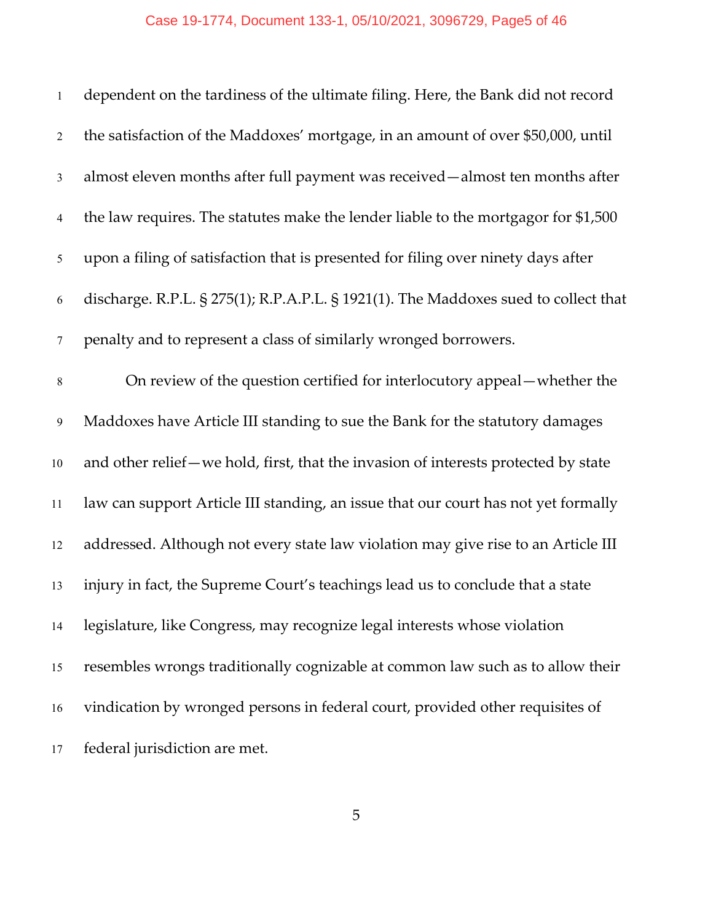| $\mathbf{1}$   | dependent on the tardiness of the ultimate filing. Here, the Bank did not record     |
|----------------|--------------------------------------------------------------------------------------|
| $\overline{2}$ | the satisfaction of the Maddoxes' mortgage, in an amount of over \$50,000, until     |
| $\mathfrak{Z}$ | almost eleven months after full payment was received-almost ten months after         |
| $\overline{4}$ | the law requires. The statutes make the lender liable to the mortgagor for \$1,500   |
| 5              | upon a filing of satisfaction that is presented for filing over ninety days after    |
| 6              | discharge. R.P.L. § 275(1); R.P.A.P.L. § 1921(1). The Maddoxes sued to collect that  |
| $\tau$         | penalty and to represent a class of similarly wronged borrowers.                     |
| $\,8\,$        | On review of the question certified for interlocutory appeal—whether the             |
| 9              | Maddoxes have Article III standing to sue the Bank for the statutory damages         |
| $10\,$         | and other relief - we hold, first, that the invasion of interests protected by state |
| 11             | law can support Article III standing, an issue that our court has not yet formally   |
| 12             | addressed. Although not every state law violation may give rise to an Article III    |
| 13             | injury in fact, the Supreme Court's teachings lead us to conclude that a state       |
| 14             | legislature, like Congress, may recognize legal interests whose violation            |
| 15             | resembles wrongs traditionally cognizable at common law such as to allow their       |
| 16             | vindication by wronged persons in federal court, provided other requisites of        |
| 17             | federal jurisdiction are met.                                                        |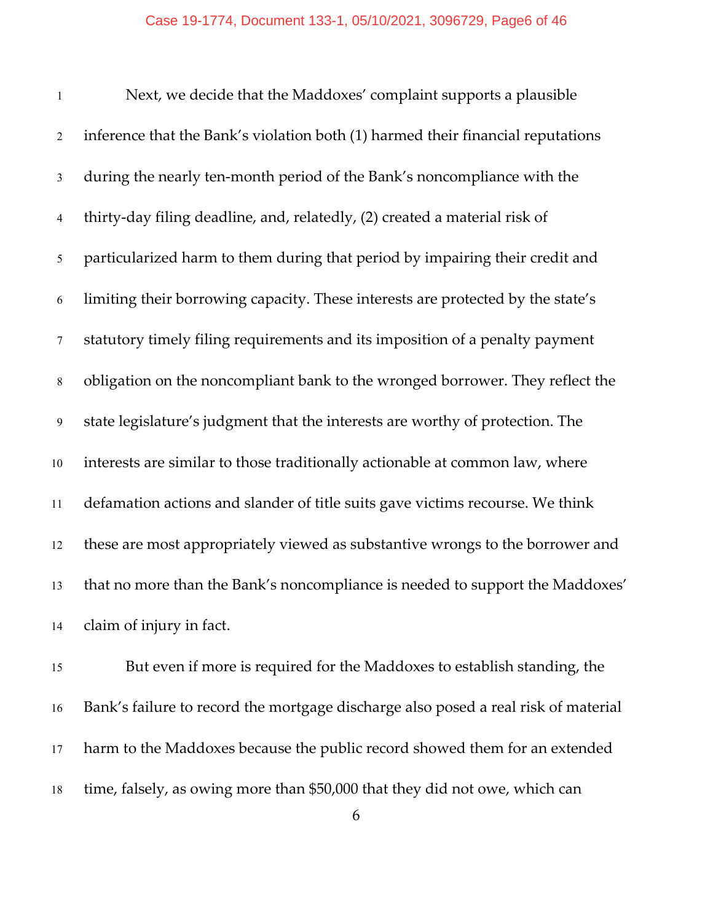| $\mathbf{1}$   | Next, we decide that the Maddoxes' complaint supports a plausible               |
|----------------|---------------------------------------------------------------------------------|
| $\overline{2}$ | inference that the Bank's violation both (1) harmed their financial reputations |
| $\mathfrak{Z}$ | during the nearly ten-month period of the Bank's noncompliance with the         |
| $\overline{4}$ | thirty-day filing deadline, and, relatedly, (2) created a material risk of      |
| 5              | particularized harm to them during that period by impairing their credit and    |
| 6              | limiting their borrowing capacity. These interests are protected by the state's |
| $\tau$         | statutory timely filing requirements and its imposition of a penalty payment    |
| $8\,$          | obligation on the noncompliant bank to the wronged borrower. They reflect the   |
| 9              | state legislature's judgment that the interests are worthy of protection. The   |
| 10             | interests are similar to those traditionally actionable at common law, where    |
| 11             | defamation actions and slander of title suits gave victims recourse. We think   |
| 12             | these are most appropriately viewed as substantive wrongs to the borrower and   |
| 13             | that no more than the Bank's noncompliance is needed to support the Maddoxes'   |
| 14             | claim of injury in fact.                                                        |

 But even if more is required for the Maddoxes to establish standing, the Bank's failure to record the mortgage discharge also posed a real risk of material harm to the Maddoxes because the public record showed them for an extended time, falsely, as owing more than \$50,000 that they did not owe, which can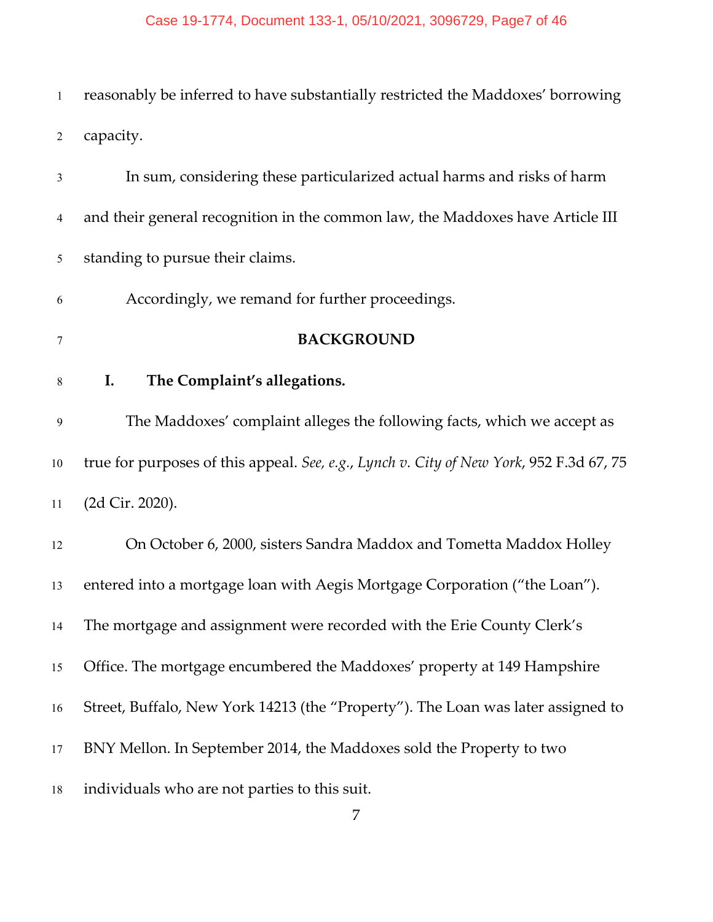# Case 19-1774, Document 133-1, 05/10/2021, 3096729, Page7 of 46

| $\mathbf{1}$   | reasonably be inferred to have substantially restricted the Maddoxes' borrowing         |
|----------------|-----------------------------------------------------------------------------------------|
| $\overline{2}$ | capacity.                                                                               |
| 3              | In sum, considering these particularized actual harms and risks of harm                 |
| 4              | and their general recognition in the common law, the Maddoxes have Article III          |
| 5              | standing to pursue their claims.                                                        |
| 6              | Accordingly, we remand for further proceedings.                                         |
| 7              | <b>BACKGROUND</b>                                                                       |
| $8\,$          | The Complaint's allegations.<br>I.                                                      |
| $\mathbf{9}$   | The Maddoxes' complaint alleges the following facts, which we accept as                 |
| 10             | true for purposes of this appeal. See, e.g., Lynch v. City of New York, 952 F.3d 67, 75 |
| 11             | (2d Cir. 2020).                                                                         |
| 12             | On October 6, 2000, sisters Sandra Maddox and Tometta Maddox Holley                     |
| 13             | entered into a mortgage loan with Aegis Mortgage Corporation ("the Loan").              |
| 14             | The mortgage and assignment were recorded with the Erie County Clerk's                  |
| 15             | Office. The mortgage encumbered the Maddoxes' property at 149 Hampshire                 |
| 16             | Street, Buffalo, New York 14213 (the "Property"). The Loan was later assigned to        |
| 17             | BNY Mellon. In September 2014, the Maddoxes sold the Property to two                    |
| 18             | individuals who are not parties to this suit.                                           |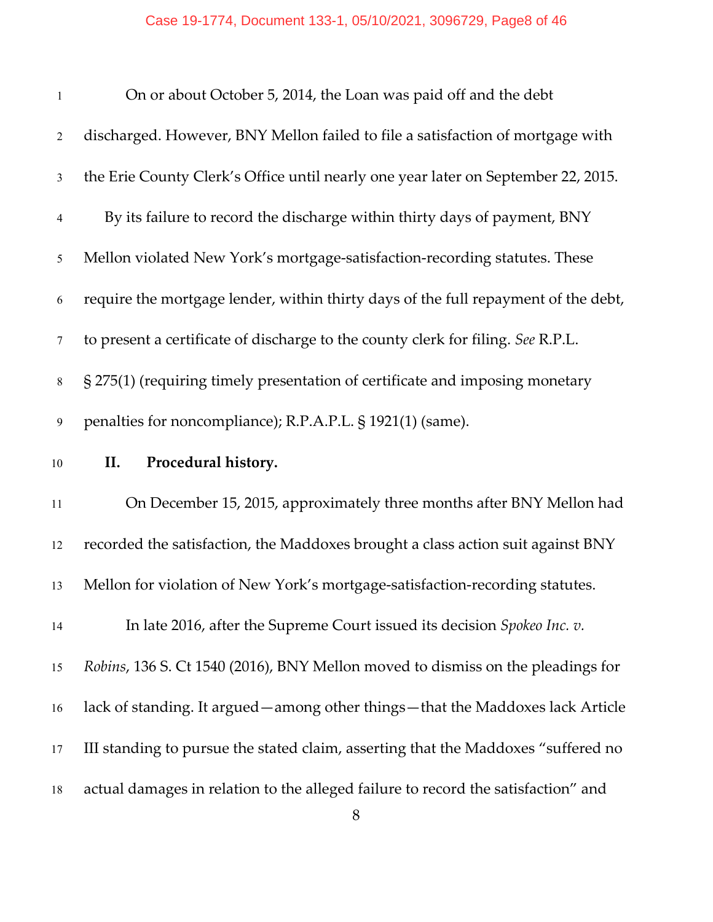| $\mathbf{1}$   | On or about October 5, 2014, the Loan was paid off and the debt                    |
|----------------|------------------------------------------------------------------------------------|
| $\overline{2}$ | discharged. However, BNY Mellon failed to file a satisfaction of mortgage with     |
| $\mathfrak{Z}$ | the Erie County Clerk's Office until nearly one year later on September 22, 2015.  |
| $\overline{4}$ | By its failure to record the discharge within thirty days of payment, BNY          |
| 5              | Mellon violated New York's mortgage-satisfaction-recording statutes. These         |
| 6              | require the mortgage lender, within thirty days of the full repayment of the debt, |
| $\tau$         | to present a certificate of discharge to the county clerk for filing. See R.P.L.   |
| $8\,$          | § 275(1) (requiring timely presentation of certificate and imposing monetary       |
| 9              | penalties for noncompliance); R.P.A.P.L. § 1921(1) (same).                         |
|                |                                                                                    |
| $10\,$         | Procedural history.<br>II.                                                         |
| 11             | On December 15, 2015, approximately three months after BNY Mellon had              |
| 12             | recorded the satisfaction, the Maddoxes brought a class action suit against BNY    |
| 13             | Mellon for violation of New York's mortgage-satisfaction-recording statutes.       |
| 14             | In late 2016, after the Supreme Court issued its decision Spokeo Inc. v.           |
| 15             | Robins, 136 S. Ct 1540 (2016), BNY Mellon moved to dismiss on the pleadings for    |
| 16             | lack of standing. It argued — among other things — that the Maddoxes lack Article  |
| 17             | III standing to pursue the stated claim, asserting that the Maddoxes "suffered no  |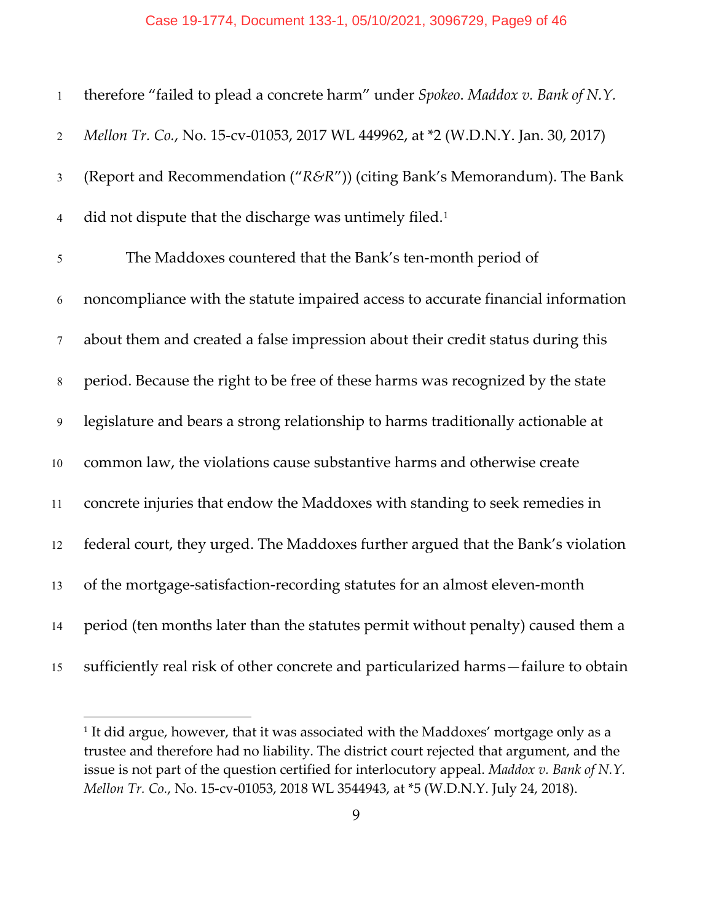### Case 19-1774, Document 133-1, 05/10/2021, 3096729, Page9 of 46

| $\mathbf{1}$    | therefore "failed to plead a concrete harm" under Spokeo. Maddox v. Bank of N.Y.    |
|-----------------|-------------------------------------------------------------------------------------|
| $\overline{2}$  | Mellon Tr. Co., No. 15-cv-01053, 2017 WL 449962, at *2 (W.D.N.Y. Jan. 30, 2017)     |
| $\mathfrak{Z}$  | (Report and Recommendation ("R&R")) (citing Bank's Memorandum). The Bank            |
| $\overline{4}$  | did not dispute that the discharge was untimely filed. <sup>1</sup>                 |
| $\mathfrak{H}$  | The Maddoxes countered that the Bank's ten-month period of                          |
| 6               | noncompliance with the statute impaired access to accurate financial information    |
| $7\phantom{.0}$ | about them and created a false impression about their credit status during this     |
| $8\,$           | period. Because the right to be free of these harms was recognized by the state     |
| 9               | legislature and bears a strong relationship to harms traditionally actionable at    |
| 10              | common law, the violations cause substantive harms and otherwise create             |
| 11              | concrete injuries that endow the Maddoxes with standing to seek remedies in         |
| 12              | federal court, they urged. The Maddoxes further argued that the Bank's violation    |
| 13              | of the mortgage-satisfaction-recording statutes for an almost eleven-month          |
| 14              | period (ten months later than the statutes permit without penalty) caused them a    |
| 15              | sufficiently real risk of other concrete and particularized harms-failure to obtain |

<span id="page-8-0"></span> $^{\rm 1}$  It did argue, however, that it was associated with the Maddoxes' mortgage only as a trustee and therefore had no liability. The district court rejected that argument, and the issue is not part of the question certified for interlocutory appeal. *Maddox v. Bank of N.Y. Mellon Tr. Co.*, No. 15-cv-01053, 2018 WL 3544943, at \*5 (W.D.N.Y. July 24, 2018).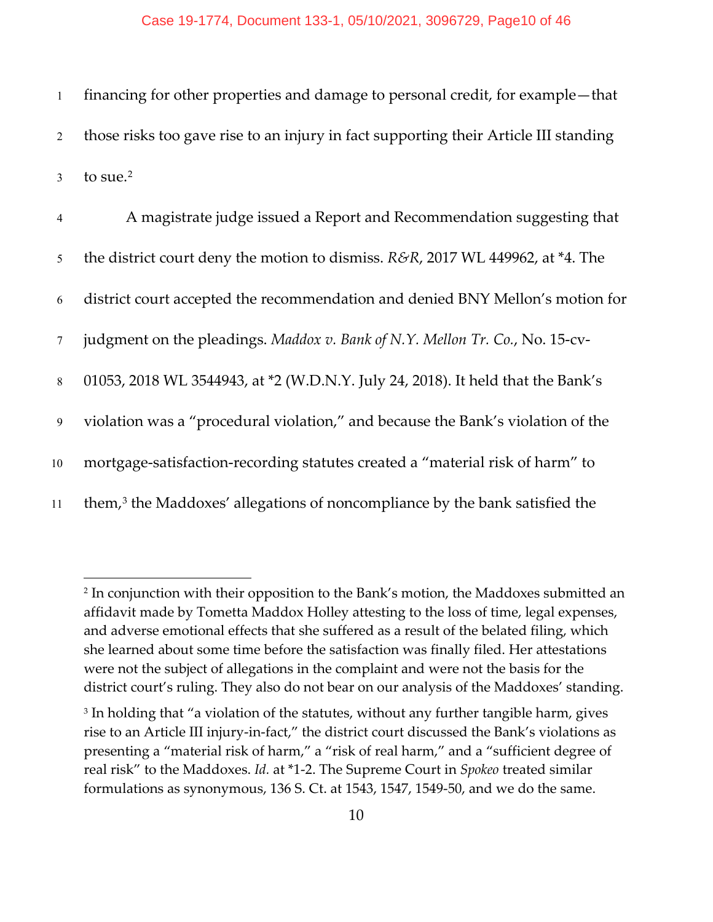1 financing for other properties and damage to personal credit, for example—that 2 those risks too gave rise to an injury in fact supporting their Article III standing 3 to sue.<sup>[2](#page-9-0)</sup>

| $\overline{4}$  | A magistrate judge issued a Report and Recommendation suggesting that                   |
|-----------------|-----------------------------------------------------------------------------------------|
| 5 <sup>5</sup>  | the district court deny the motion to dismiss. R&R, 2017 WL 449962, at *4. The          |
| 6               | district court accepted the recommendation and denied BNY Mellon's motion for           |
| $7\phantom{.0}$ | judgment on the pleadings. Maddox v. Bank of N.Y. Mellon Tr. Co., No. 15-cv-            |
| 8               | 01053, 2018 WL 3544943, at *2 (W.D.N.Y. July 24, 2018). It held that the Bank's         |
| 9               | violation was a "procedural violation," and because the Bank's violation of the         |
| 10              | mortgage-satisfaction-recording statutes created a "material risk of harm" to           |
| 11              | them, <sup>3</sup> the Maddoxes' allegations of noncompliance by the bank satisfied the |

<span id="page-9-0"></span><sup>2</sup> In conjunction with their opposition to the Bank's motion, the Maddoxes submitted an affidavit made by Tometta Maddox Holley attesting to the loss of time, legal expenses, and adverse emotional effects that she suffered as a result of the belated filing, which she learned about some time before the satisfaction was finally filed. Her attestations were not the subject of allegations in the complaint and were not the basis for the district court's ruling. They also do not bear on our analysis of the Maddoxes' standing.

<span id="page-9-1"></span><sup>&</sup>lt;sup>3</sup> In holding that "a violation of the statutes, without any further tangible harm, gives rise to an Article III injury-in-fact," the district court discussed the Bank's violations as presenting a "material risk of harm," a "risk of real harm," and a "sufficient degree of real risk" to the Maddoxes. *Id.* at \*1-2. The Supreme Court in *Spokeo* treated similar formulations as synonymous, 136 S. Ct. at 1543, 1547, 1549-50, and we do the same.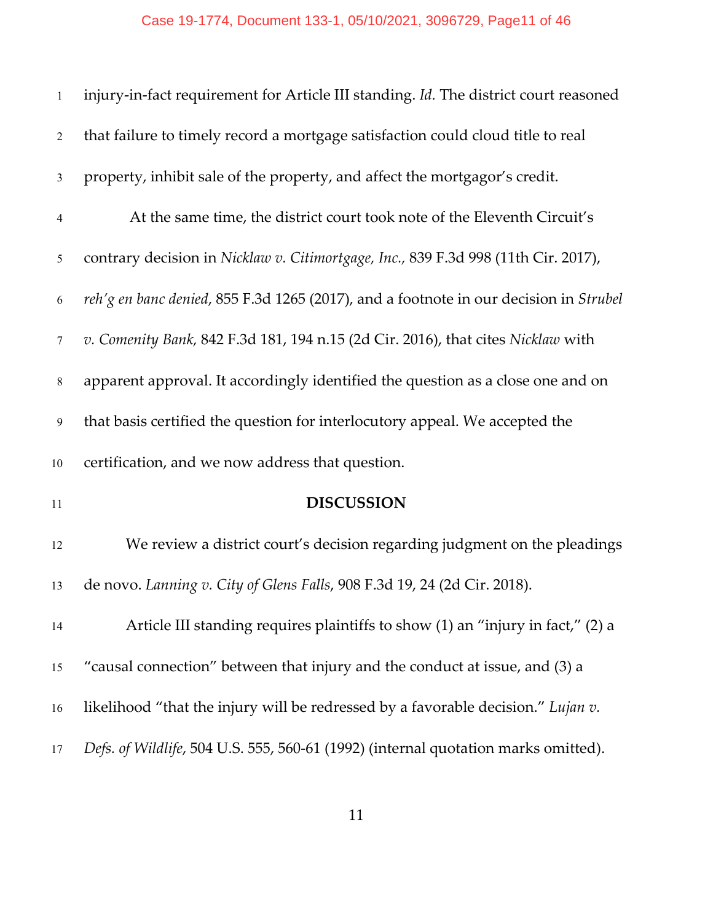| $\mathbf{1}$    | injury-in-fact requirement for Article III standing. Id. The district court reasoned  |
|-----------------|---------------------------------------------------------------------------------------|
| $\overline{2}$  | that failure to timely record a mortgage satisfaction could cloud title to real       |
| $\mathfrak{Z}$  | property, inhibit sale of the property, and affect the mortgagor's credit.            |
| $\overline{4}$  | At the same time, the district court took note of the Eleventh Circuit's              |
| 5               | contrary decision in Nicklaw v. Citimortgage, Inc., 839 F.3d 998 (11th Cir. 2017),    |
| 6               | reh'g en banc denied, 855 F.3d 1265 (2017), and a footnote in our decision in Strubel |
| $7\phantom{.0}$ | v. Comenity Bank, 842 F.3d 181, 194 n.15 (2d Cir. 2016), that cites Nicklaw with      |
| $8\,$           | apparent approval. It accordingly identified the question as a close one and on       |
| 9               | that basis certified the question for interlocutory appeal. We accepted the           |
| $10\,$          | certification, and we now address that question.                                      |
| $11\,$          | <b>DISCUSSION</b>                                                                     |
| 12              | We review a district court's decision regarding judgment on the pleadings             |
| 13              | de novo. Lanning v. City of Glens Falls, 908 F.3d 19, 24 (2d Cir. 2018).              |
| 14              | Article III standing requires plaintiffs to show (1) an "injury in fact," (2) a       |
| 15              | "causal connection" between that injury and the conduct at issue, and (3) a           |
| 16              | likelihood "that the injury will be redressed by a favorable decision." Lujan v.      |
| 17              | Defs. of Wildlife, 504 U.S. 555, 560-61 (1992) (internal quotation marks omitted).    |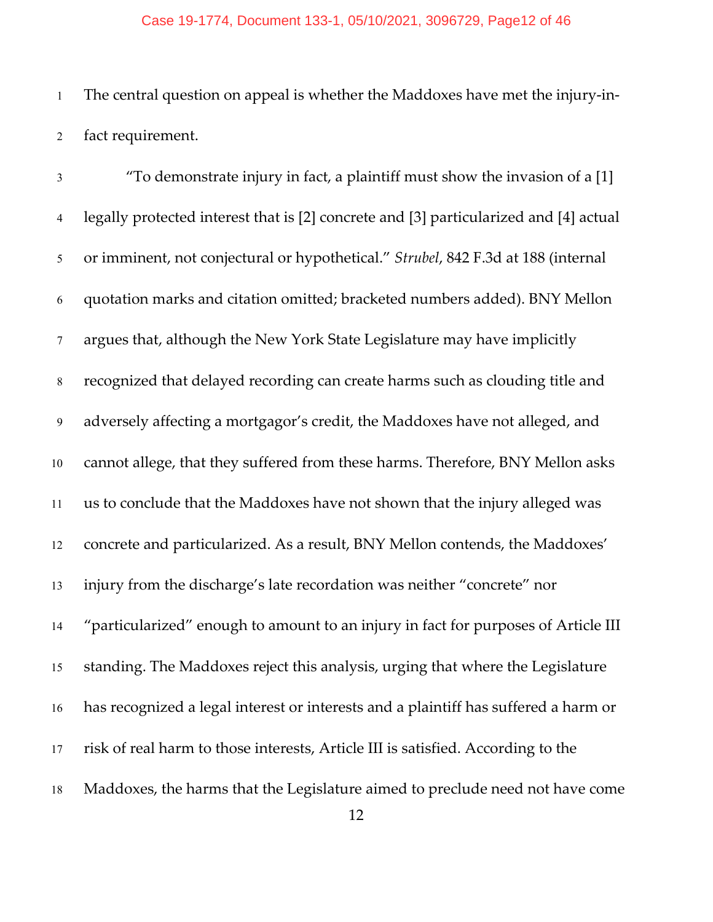#### Case 19-1774, Document 133-1, 05/10/2021, 3096729, Page12 of 46

 The central question on appeal is whether the Maddoxes have met the injury-in-fact requirement.

 "To demonstrate injury in fact, a plaintiff must show the invasion of a [1] legally protected interest that is [2] concrete and [3] particularized and [4] actual or imminent, not conjectural or hypothetical." *Strubel*, 842 F.3d at 188 (internal quotation marks and citation omitted; bracketed numbers added). BNY Mellon argues that, although the New York State Legislature may have implicitly recognized that delayed recording can create harms such as clouding title and adversely affecting a mortgagor's credit, the Maddoxes have not alleged, and cannot allege, that they suffered from these harms. Therefore, BNY Mellon asks us to conclude that the Maddoxes have not shown that the injury alleged was concrete and particularized. As a result, BNY Mellon contends, the Maddoxes' injury from the discharge's late recordation was neither "concrete" nor "particularized" enough to amount to an injury in fact for purposes of Article III standing. The Maddoxes reject this analysis, urging that where the Legislature has recognized a legal interest or interests and a plaintiff has suffered a harm or risk of real harm to those interests, Article III is satisfied. According to the Maddoxes, the harms that the Legislature aimed to preclude need not have come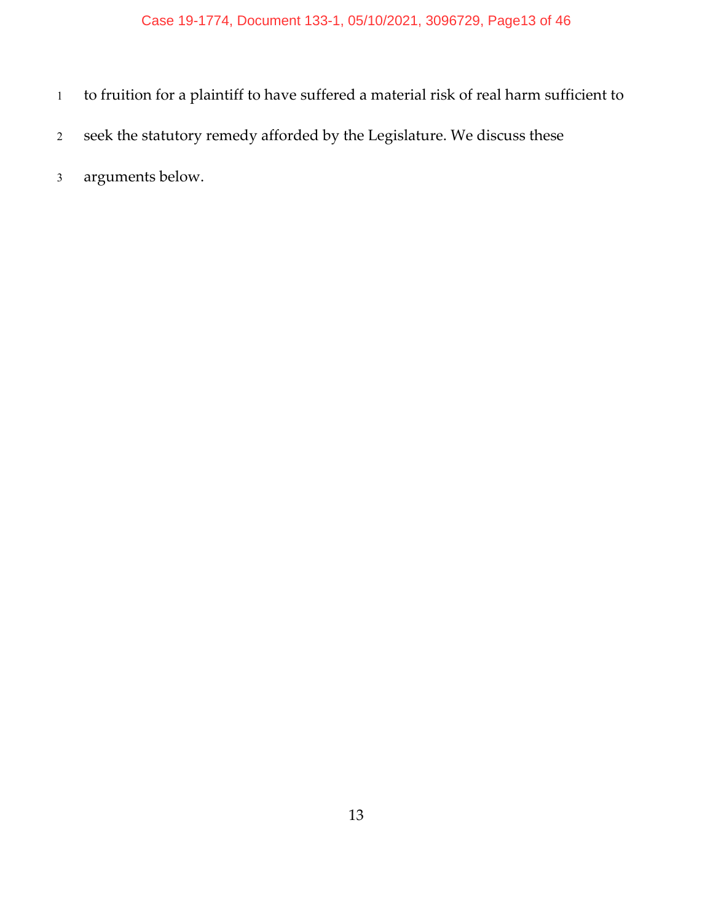- to fruition for a plaintiff to have suffered a material risk of real harm sufficient to
- seek the statutory remedy afforded by the Legislature. We discuss these
- arguments below.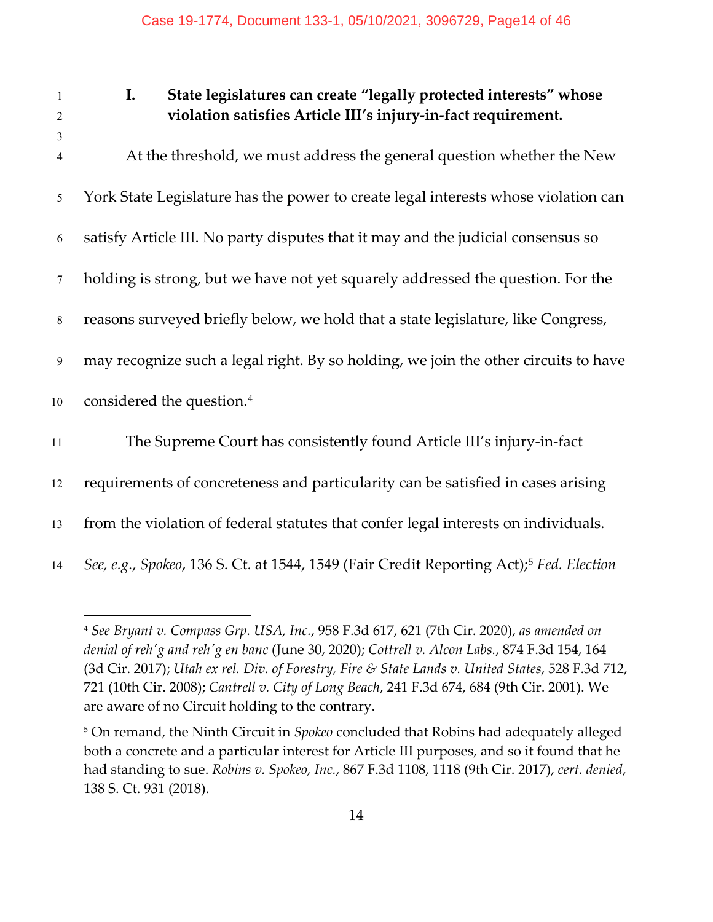### 1 **I. State legislatures can create "legally protected interests" whose**  2 **violation satisfies Article III's injury-in-fact requirement.**

3 At the threshold, we must address the general question whether the New York State Legislature has the power to create legal interests whose violation can satisfy Article III. No party disputes that it may and the judicial consensus so holding is strong, but we have not yet squarely addressed the question. For the reasons surveyed briefly below, we hold that a state legislature, like Congress, may recognize such a legal right. By so holding, we join the other circuits to have 10 considered the question.<sup>[4](#page-13-0)</sup> The Supreme Court has consistently found Article III's injury-in-fact requirements of concreteness and particularity can be satisfied in cases arising from the violation of federal statutes that confer legal interests on individuals.

<span id="page-13-0"></span>14 *See, e.g., Spokeo,* 136 S. Ct. at 1[5](#page-13-1)44, 1549 (Fair Credit Reporting Act);<sup>5</sup> *Fed. Election* 

<sup>4</sup> *See Bryant v. Compass Grp. USA, Inc.*, 958 F.3d 617, 621 (7th Cir. 2020), *as amended on denial of reh'g and reh'g en banc* (June 30, 2020); *Cottrell v. Alcon Labs.*, 874 F.3d 154, 164 (3d Cir. 2017); *Utah ex rel. Div. of Forestry, Fire & State Lands v. United States*, 528 F.3d 712, 721 (10th Cir. 2008); *Cantrell v. City of Long Beach*, 241 F.3d 674, 684 (9th Cir. 2001). We are aware of no Circuit holding to the contrary.

<span id="page-13-1"></span><sup>5</sup> On remand, the Ninth Circuit in *Spokeo* concluded that Robins had adequately alleged both a concrete and a particular interest for Article III purposes, and so it found that he had standing to sue. *Robins v. Spokeo, Inc.*, 867 F.3d 1108, 1118 (9th Cir. 2017), *cert. denied*, 138 S. Ct. 931 (2018).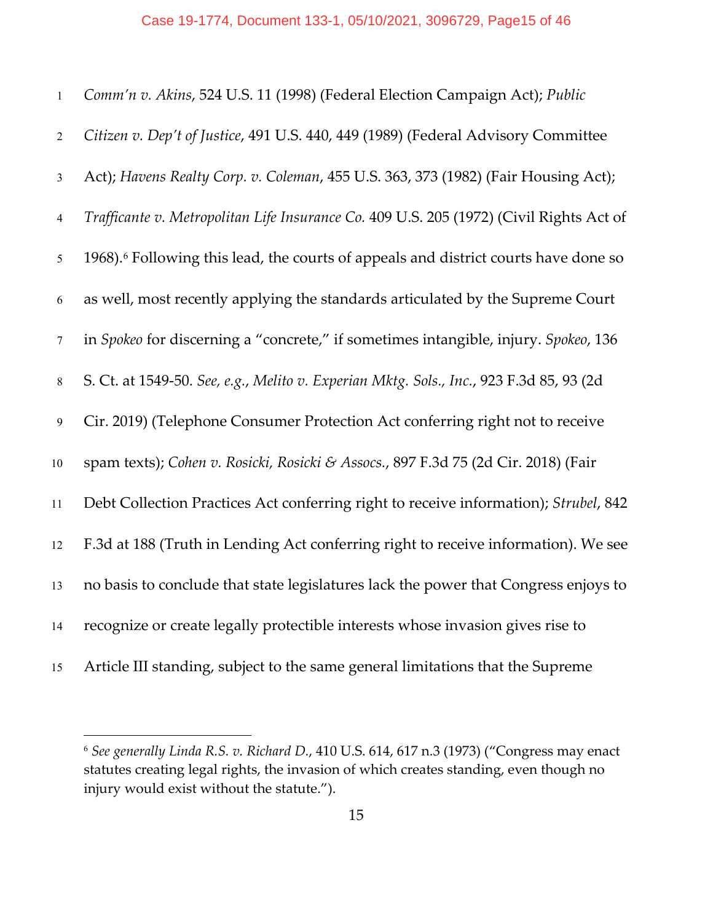| $\mathbf{1}$   | Comm'n v. Akins, 524 U.S. 11 (1998) (Federal Election Campaign Act); Public                     |
|----------------|-------------------------------------------------------------------------------------------------|
| $\overline{2}$ | Citizen v. Dep't of Justice, 491 U.S. 440, 449 (1989) (Federal Advisory Committee               |
| $\mathfrak{Z}$ | Act); Havens Realty Corp. v. Coleman, 455 U.S. 363, 373 (1982) (Fair Housing Act);              |
| $\overline{4}$ | Trafficante v. Metropolitan Life Insurance Co. 409 U.S. 205 (1972) (Civil Rights Act of         |
| 5              | 1968). <sup>6</sup> Following this lead, the courts of appeals and district courts have done so |
| 6              | as well, most recently applying the standards articulated by the Supreme Court                  |
| $\tau$         | in Spokeo for discerning a "concrete," if sometimes intangible, injury. Spokeo, 136             |
| $8\,$          | S. Ct. at 1549-50. See, e.g., Melito v. Experian Mktg. Sols., Inc., 923 F.3d 85, 93 (2d         |
| 9              | Cir. 2019) (Telephone Consumer Protection Act conferring right not to receive                   |
| 10             | spam texts); Cohen v. Rosicki, Rosicki & Assocs., 897 F.3d 75 (2d Cir. 2018) (Fair              |
| 11             | Debt Collection Practices Act conferring right to receive information); Strubel, 842            |
| 12             | F.3d at 188 (Truth in Lending Act conferring right to receive information). We see              |
| 13             | no basis to conclude that state legislatures lack the power that Congress enjoys to             |
| 14             | recognize or create legally protectible interests whose invasion gives rise to                  |
| 15             | Article III standing, subject to the same general limitations that the Supreme                  |

<span id="page-14-0"></span> *See generally Linda R.S. v. Richard D.*, 410 U.S. 614, 617 n.3 (1973) ("Congress may enact statutes creating legal rights, the invasion of which creates standing, even though no injury would exist without the statute.").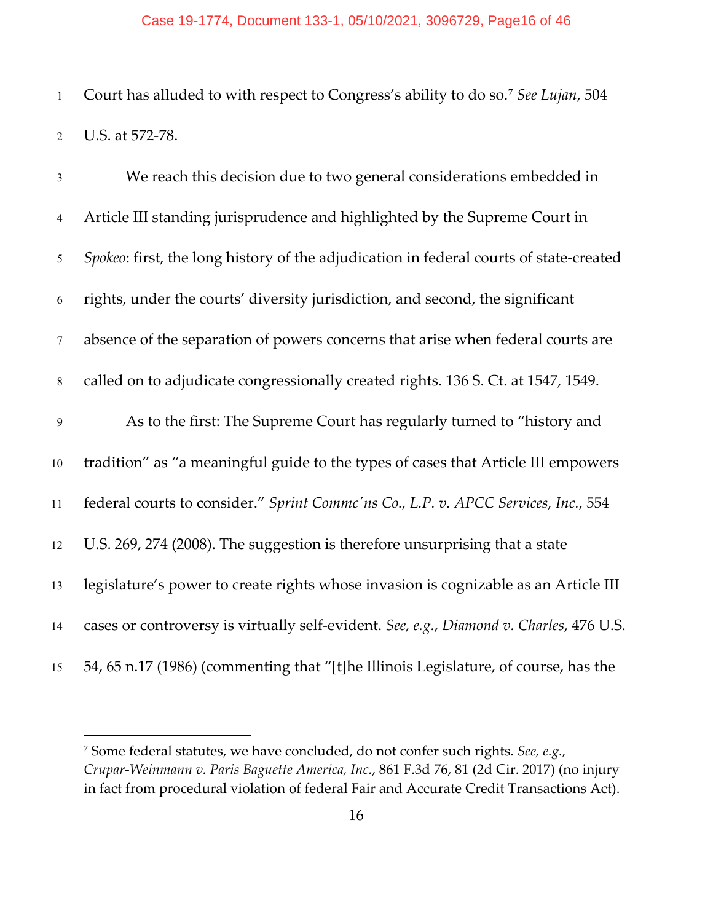#### Case 19-1774, Document 133-1, 05/10/2021, 3096729, Page16 of 46

1 Court has alluded to with respect to Congress's ability to do so.<sup>[7](#page-15-0)</sup> See Lujan, 504 U.S. at 572-78.

| $\overline{3}$   | We reach this decision due to two general considerations embedded in                    |
|------------------|-----------------------------------------------------------------------------------------|
| $\overline{4}$   | Article III standing jurisprudence and highlighted by the Supreme Court in              |
| 5                | Spokeo: first, the long history of the adjudication in federal courts of state-created  |
| 6                | rights, under the courts' diversity jurisdiction, and second, the significant           |
| $7\phantom{.0}$  | absence of the separation of powers concerns that arise when federal courts are         |
| $8\,$            | called on to adjudicate congressionally created rights. 136 S. Ct. at 1547, 1549.       |
| $\boldsymbol{9}$ | As to the first: The Supreme Court has regularly turned to "history and                 |
| 10               | tradition" as "a meaningful guide to the types of cases that Article III empowers       |
| 11               | federal courts to consider." Sprint Commc'ns Co., L.P. v. APCC Services, Inc., 554      |
| 12               | U.S. 269, 274 (2008). The suggestion is therefore unsurprising that a state             |
| 13               | legislature's power to create rights whose invasion is cognizable as an Article III     |
| 14               | cases or controversy is virtually self-evident. See, e.g., Diamond v. Charles, 476 U.S. |
| 15               | 54, 65 n.17 (1986) (commenting that "[t]he Illinois Legislature, of course, has the     |

<span id="page-15-0"></span> Some federal statutes, we have concluded, do not confer such rights. *See, e.g., Crupar-Weinmann v. Paris Baguette America, Inc.*, 861 F.3d 76, 81 (2d Cir. 2017) (no injury in fact from procedural violation of federal Fair and Accurate Credit Transactions Act).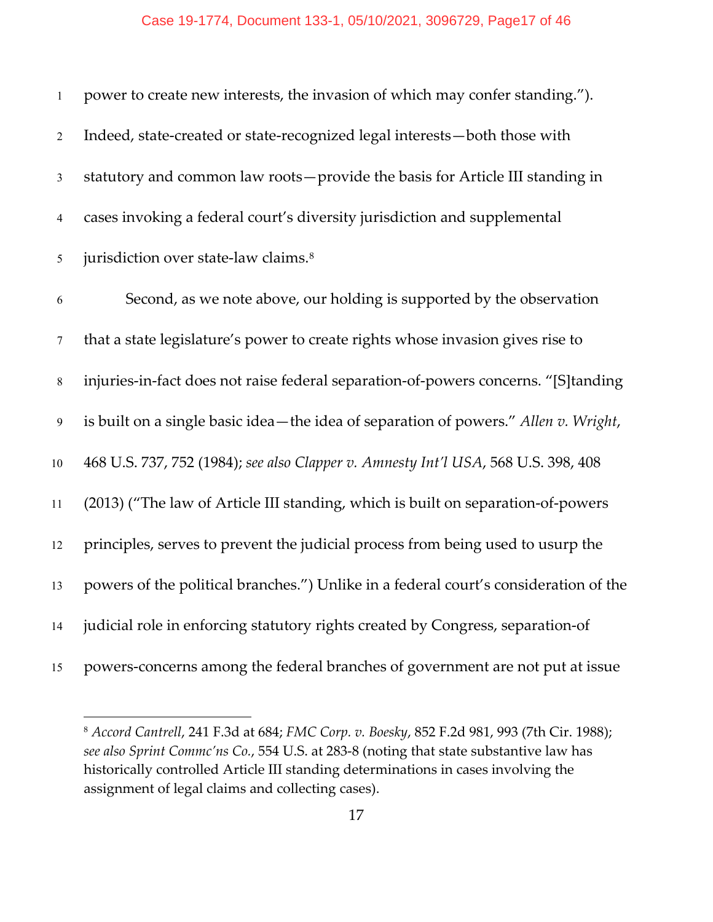| $\mathbf{1}$   | power to create new interests, the invasion of which may confer standing.").         |
|----------------|--------------------------------------------------------------------------------------|
| $\overline{2}$ | Indeed, state-created or state-recognized legal interests-both those with            |
| $\mathfrak{Z}$ | statutory and common law roots-provide the basis for Article III standing in         |
| $\overline{4}$ | cases invoking a federal court's diversity jurisdiction and supplemental             |
| $\mathfrak{H}$ | jurisdiction over state-law claims. <sup>8</sup>                                     |
| 6              | Second, as we note above, our holding is supported by the observation                |
| $\tau$         | that a state legislature's power to create rights whose invasion gives rise to       |
| $\,8\,$        | injuries-in-fact does not raise federal separation-of-powers concerns. "[S]tanding   |
| $\overline{9}$ | is built on a single basic idea-the idea of separation of powers." Allen v. Wright,  |
| 10             | 468 U.S. 737, 752 (1984); see also Clapper v. Amnesty Int'l USA, 568 U.S. 398, 408   |
| 11             | (2013) ("The law of Article III standing, which is built on separation-of-powers     |
| 12             | principles, serves to prevent the judicial process from being used to usurp the      |
| 13             | powers of the political branches.") Unlike in a federal court's consideration of the |
| 14             | judicial role in enforcing statutory rights created by Congress, separation-of       |
| 15             | powers-concerns among the federal branches of government are not put at issue        |

<span id="page-16-0"></span> *Accord Cantrell*, 241 F.3d at 684; *FMC Corp. v. Boesky*, 852 F.2d 981, 993 (7th Cir. 1988); *see also Sprint Commc'ns Co.*, 554 U.S. at 283-8 (noting that state substantive law has historically controlled Article III standing determinations in cases involving the assignment of legal claims and collecting cases).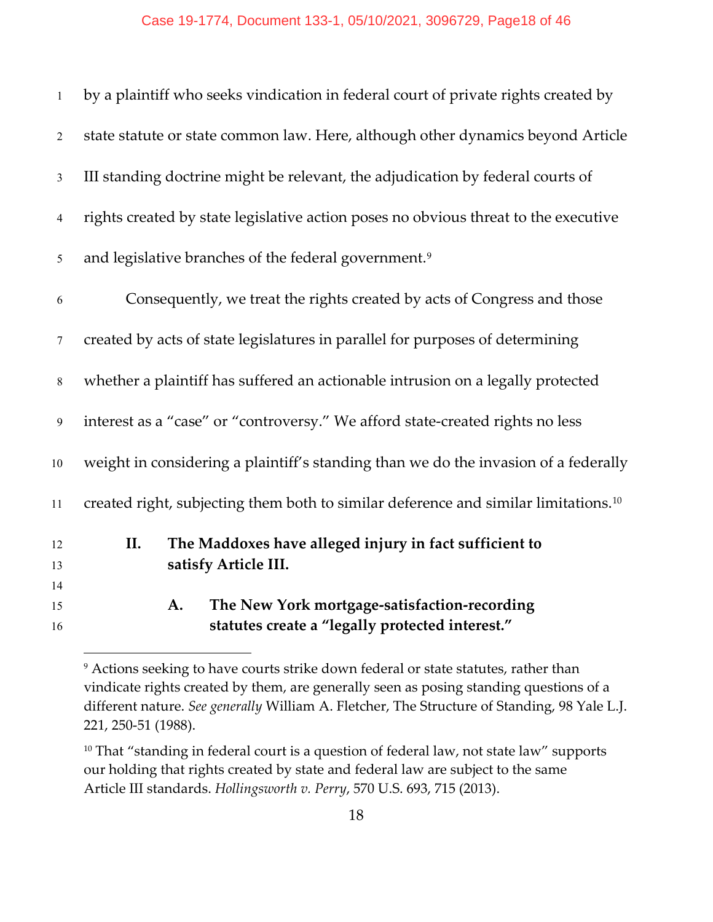| 15<br>16       | The New York mortgage-satisfaction-recording<br>A.<br>statutes create a "legally protected interest." |
|----------------|-------------------------------------------------------------------------------------------------------|
| 14             |                                                                                                       |
| 13             | satisfy Article III.                                                                                  |
| 12             | The Maddoxes have alleged injury in fact sufficient to<br>II.                                         |
| 11             | created right, subjecting them both to similar deference and similar limitations. <sup>10</sup>       |
| 10             | weight in considering a plaintiff's standing than we do the invasion of a federally                   |
| 9              | interest as a "case" or "controversy." We afford state-created rights no less                         |
| $8\phantom{.}$ | whether a plaintiff has suffered an actionable intrusion on a legally protected                       |
| $\tau$         | created by acts of state legislatures in parallel for purposes of determining                         |
| 6              | Consequently, we treat the rights created by acts of Congress and those                               |
| $\mathfrak{H}$ | and legislative branches of the federal government. <sup>9</sup>                                      |
| $\overline{4}$ | rights created by state legislative action poses no obvious threat to the executive                   |
| $\mathfrak{Z}$ | III standing doctrine might be relevant, the adjudication by federal courts of                        |
| $\mathbf{2}$   | state statute or state common law. Here, although other dynamics beyond Article                       |
| $\mathbf{1}$   | by a plaintiff who seeks vindication in federal court of private rights created by                    |

<span id="page-17-0"></span><sup>&</sup>lt;sup>9</sup> Actions seeking to have courts strike down federal or state statutes, rather than vindicate rights created by them, are generally seen as posing standing questions of a different nature. *See generally* William A. Fletcher, The Structure of Standing, 98 Yale L.J. 221, 250-51 (1988).

<span id="page-17-1"></span><sup>&</sup>lt;sup>10</sup> That "standing in federal court is a question of federal law, not state law" supports our holding that rights created by state and federal law are subject to the same Article III standards. *Hollingsworth v. Perry*, 570 U.S. 693, 715 (2013).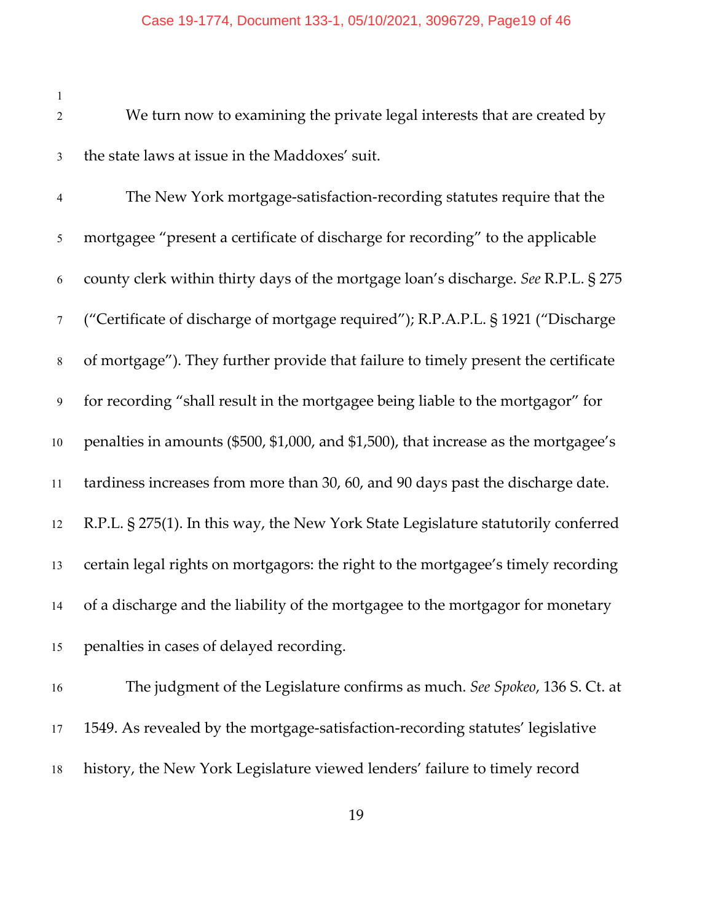We turn now to examining the private legal interests that are created by the state laws at issue in the Maddoxes' suit.

 The New York mortgage-satisfaction-recording statutes require that the mortgagee "present a certificate of discharge for recording" to the applicable county clerk within thirty days of the mortgage loan's discharge. *See* R.P.L. § 275 ("Certificate of discharge of mortgage required"); R.P.A.P.L. § 1921 ("Discharge of mortgage"). They further provide that failure to timely present the certificate for recording "shall result in the mortgagee being liable to the mortgagor" for penalties in amounts (\$500, \$1,000, and \$1,500), that increase as the mortgagee's tardiness increases from more than 30, 60, and 90 days past the discharge date. R.P.L. § 275(1). In this way, the New York State Legislature statutorily conferred certain legal rights on mortgagors: the right to the mortgagee's timely recording of a discharge and the liability of the mortgagee to the mortgagor for monetary penalties in cases of delayed recording.

 The judgment of the Legislature confirms as much. *See Spokeo*, 136 S. Ct. at 1549. As revealed by the mortgage-satisfaction-recording statutes' legislative history, the New York Legislature viewed lenders' failure to timely record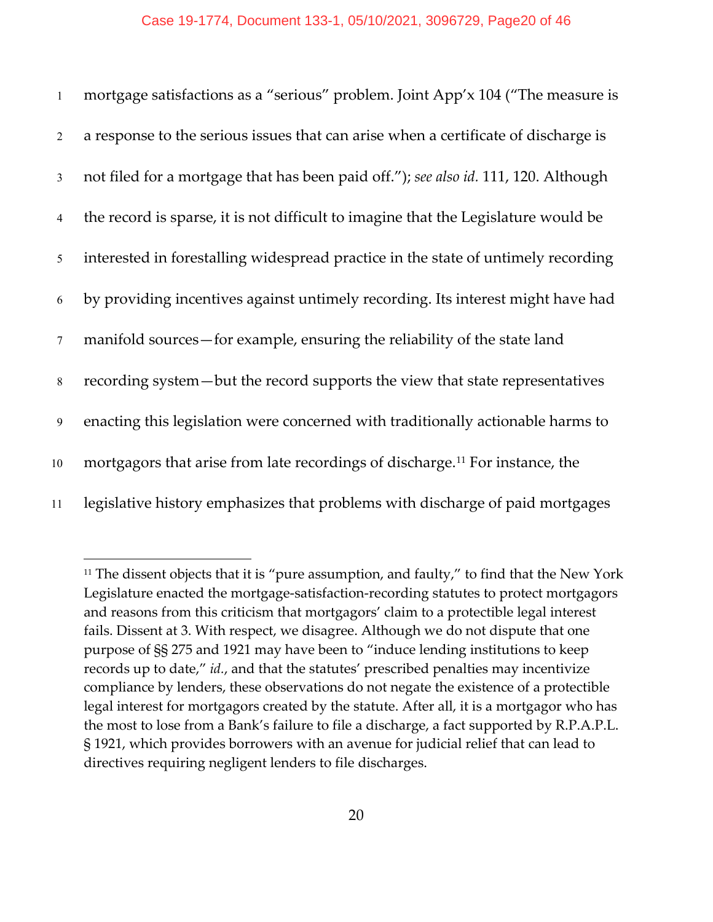| $\mathbf{1}$   | mortgage satisfactions as a "serious" problem. Joint App'x 104 ("The measure is          |
|----------------|------------------------------------------------------------------------------------------|
| $\overline{2}$ | a response to the serious issues that can arise when a certificate of discharge is       |
| $\mathfrak{Z}$ | not filed for a mortgage that has been paid off."); see also id. 111, 120. Although      |
| $\overline{4}$ | the record is sparse, it is not difficult to imagine that the Legislature would be       |
| 5              | interested in forestalling widespread practice in the state of untimely recording        |
| 6              | by providing incentives against untimely recording. Its interest might have had          |
| $\tau$         | manifold sources – for example, ensuring the reliability of the state land               |
| 8              | recording system-but the record supports the view that state representatives             |
| 9              | enacting this legislation were concerned with traditionally actionable harms to          |
| 10             | mortgagors that arise from late recordings of discharge. <sup>11</sup> For instance, the |
| 11             | legislative history emphasizes that problems with discharge of paid mortgages            |

<span id="page-19-0"></span><sup>&</sup>lt;sup>11</sup> The dissent objects that it is "pure assumption, and faulty," to find that the New York Legislature enacted the mortgage-satisfaction-recording statutes to protect mortgagors and reasons from this criticism that mortgagors' claim to a protectible legal interest fails. Dissent at 3. With respect, we disagree. Although we do not dispute that one purpose of §§ 275 and 1921 may have been to "induce lending institutions to keep records up to date," *id.*, and that the statutes' prescribed penalties may incentivize compliance by lenders, these observations do not negate the existence of a protectible legal interest for mortgagors created by the statute. After all, it is a mortgagor who has the most to lose from a Bank's failure to file a discharge, a fact supported by R.P.A.P.L. § 1921, which provides borrowers with an avenue for judicial relief that can lead to directives requiring negligent lenders to file discharges.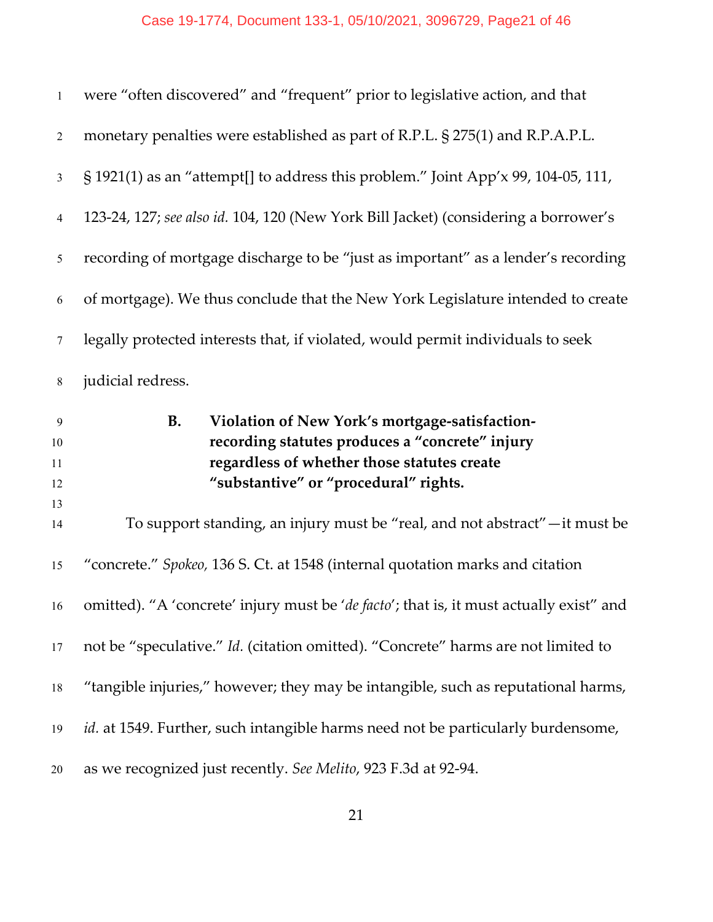| $\mathbf{1}$        | were "often discovered" and "frequent" prior to legislative action, and that                                                                                                                           |
|---------------------|--------------------------------------------------------------------------------------------------------------------------------------------------------------------------------------------------------|
| $\overline{2}$      | monetary penalties were established as part of R.P.L. § 275(1) and R.P.A.P.L.                                                                                                                          |
| $\mathfrak{Z}$      | $\S$ 1921(1) as an "attempt[] to address this problem." Joint App'x 99, 104-05, 111,                                                                                                                   |
| $\overline{4}$      | 123-24, 127; see also id. 104, 120 (New York Bill Jacket) (considering a borrower's                                                                                                                    |
| 5                   | recording of mortgage discharge to be "just as important" as a lender's recording                                                                                                                      |
| 6                   | of mortgage). We thus conclude that the New York Legislature intended to create                                                                                                                        |
| 7                   | legally protected interests that, if violated, would permit individuals to seek                                                                                                                        |
| $8\,$               | judicial redress.                                                                                                                                                                                      |
|                     |                                                                                                                                                                                                        |
| 9<br>10<br>11<br>12 | <b>B.</b><br>Violation of New York's mortgage-satisfaction-<br>recording statutes produces a "concrete" injury<br>regardless of whether those statutes create<br>"substantive" or "procedural" rights. |
| 13<br>14            | To support standing, an injury must be "real, and not abstract" - it must be                                                                                                                           |
| 15                  | "concrete." Spokeo, 136 S. Ct. at 1548 (internal quotation marks and citation                                                                                                                          |
| 16                  | omitted). "A 'concrete' injury must be 'de facto'; that is, it must actually exist" and                                                                                                                |
| 17                  | not be "speculative." Id. (citation omitted). "Concrete" harms are not limited to                                                                                                                      |
| 18                  | "tangible injuries," however; they may be intangible, such as reputational harms,                                                                                                                      |
| 19                  | id. at 1549. Further, such intangible harms need not be particularly burdensome,                                                                                                                       |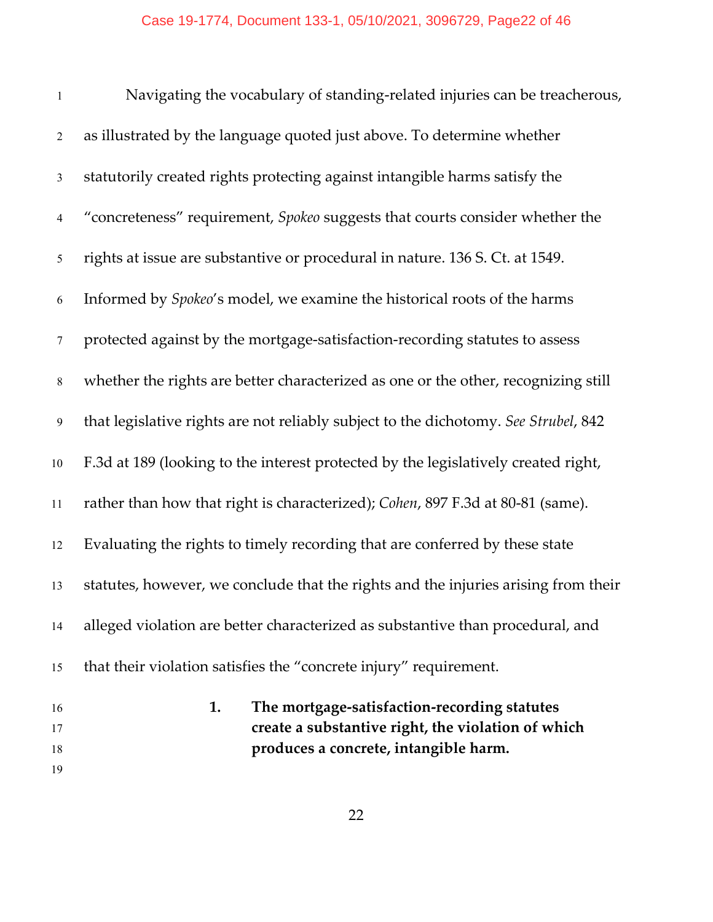| $\mathbf{1}$     | Navigating the vocabulary of standing-related injuries can be treacherous,          |
|------------------|-------------------------------------------------------------------------------------|
| $\sqrt{2}$       | as illustrated by the language quoted just above. To determine whether              |
| $\mathfrak{Z}$   | statutorily created rights protecting against intangible harms satisfy the          |
| $\overline{4}$   | "concreteness" requirement, Spokeo suggests that courts consider whether the        |
| 5                | rights at issue are substantive or procedural in nature. 136 S. Ct. at 1549.        |
| 6                | Informed by <i>Spokeo's</i> model, we examine the historical roots of the harms     |
| $\tau$           | protected against by the mortgage-satisfaction-recording statutes to assess         |
| $\,8\,$          | whether the rights are better characterized as one or the other, recognizing still  |
| $\boldsymbol{9}$ | that legislative rights are not reliably subject to the dichotomy. See Strubel, 842 |
| 10               | F.3d at 189 (looking to the interest protected by the legislatively created right,  |
| 11               | rather than how that right is characterized); Cohen, 897 F.3d at 80-81 (same).      |
| 12               | Evaluating the rights to timely recording that are conferred by these state         |
| 13               | statutes, however, we conclude that the rights and the injuries arising from their  |
| 14               | alleged violation are better characterized as substantive than procedural, and      |
| 15               | that their violation satisfies the "concrete injury" requirement.                   |
| 16               | 1.<br>The mortgage-satisfaction-recording statutes                                  |
| 17               | create a substantive right, the violation of which                                  |
| 18               | produces a concrete, intangible harm.                                               |
| 19               |                                                                                     |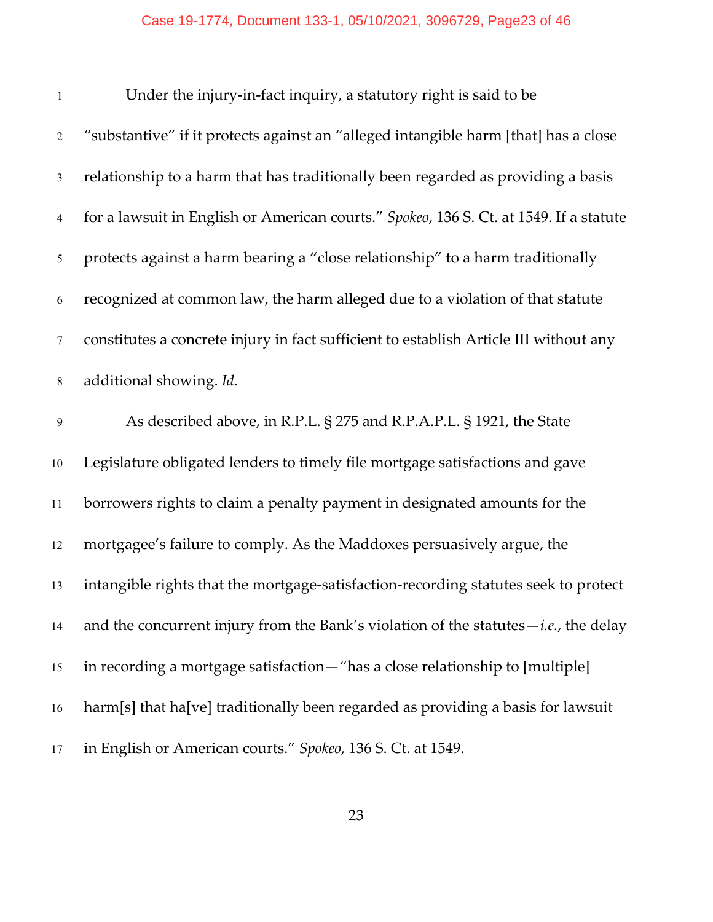## Case 19-1774, Document 133-1, 05/10/2021, 3096729, Page23 of 46

| $\mathbf{1}$   | Under the injury-in-fact inquiry, a statutory right is said to be                      |
|----------------|----------------------------------------------------------------------------------------|
| $\mathbf{2}$   | "substantive" if it protects against an "alleged intangible harm [that] has a close    |
| $\mathfrak{Z}$ | relationship to a harm that has traditionally been regarded as providing a basis       |
| $\overline{4}$ | for a lawsuit in English or American courts." Spokeo, 136 S. Ct. at 1549. If a statute |
| 5              | protects against a harm bearing a "close relationship" to a harm traditionally         |
| 6              | recognized at common law, the harm alleged due to a violation of that statute          |
| $\tau$         | constitutes a concrete injury in fact sufficient to establish Article III without any  |
| $8\,$          | additional showing. Id.                                                                |
| 9              | As described above, in R.P.L. § 275 and R.P.A.P.L. § 1921, the State                   |
| 10             | Legislature obligated lenders to timely file mortgage satisfactions and gave           |
| 11             | borrowers rights to claim a penalty payment in designated amounts for the              |
| 12             | mortgagee's failure to comply. As the Maddoxes persuasively argue, the                 |
| 13             | intangible rights that the mortgage-satisfaction-recording statutes seek to protect    |
| 14             | and the concurrent injury from the Bank's violation of the statutes $-i.e.,$ the delay |
| 15             | in recording a mortgage satisfaction-"has a close relationship to [multiple]           |
| 16             | harm[s] that ha[ve] traditionally been regarded as providing a basis for lawsuit       |
| 17             | in English or American courts." Spokeo, 136 S. Ct. at 1549.                            |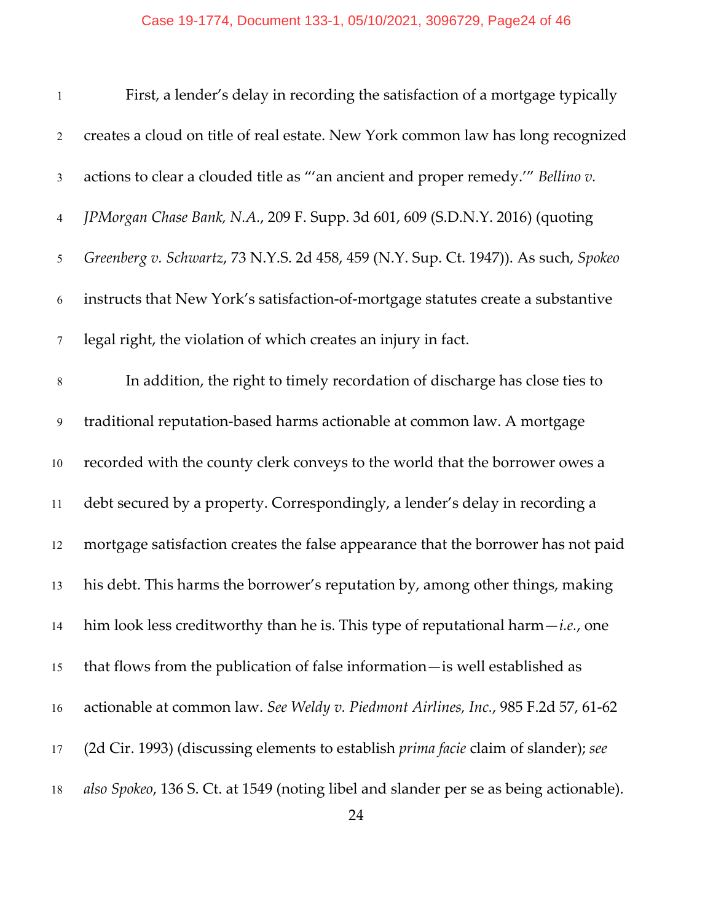## Case 19-1774, Document 133-1, 05/10/2021, 3096729, Page24 of 46

| $\mathbf{1}$    | First, a lender's delay in recording the satisfaction of a mortgage typically              |
|-----------------|--------------------------------------------------------------------------------------------|
| $\overline{2}$  | creates a cloud on title of real estate. New York common law has long recognized           |
| $\mathfrak{Z}$  | actions to clear a clouded title as "'an ancient and proper remedy.'" Bellino v.           |
| $\overline{4}$  | JPMorgan Chase Bank, N.A., 209 F. Supp. 3d 601, 609 (S.D.N.Y. 2016) (quoting               |
| 5               | Greenberg v. Schwartz, 73 N.Y.S. 2d 458, 459 (N.Y. Sup. Ct. 1947)). As such, Spokeo        |
| 6               | instructs that New York's satisfaction-of-mortgage statutes create a substantive           |
| $\tau$          | legal right, the violation of which creates an injury in fact.                             |
| $8\phantom{.0}$ | In addition, the right to timely recordation of discharge has close ties to                |
| 9               | traditional reputation-based harms actionable at common law. A mortgage                    |
| 10              | recorded with the county clerk conveys to the world that the borrower owes a               |
| 11              | debt secured by a property. Correspondingly, a lender's delay in recording a               |
| 12              | mortgage satisfaction creates the false appearance that the borrower has not paid          |
| 13              | his debt. This harms the borrower's reputation by, among other things, making              |
| 14              | him look less creditworthy than he is. This type of reputational harm $-i.e.,$ one         |
| 15              | that flows from the publication of false information-is well established as                |
| 16              | actionable at common law. See Weldy v. Piedmont Airlines, Inc., 985 F.2d 57, 61-62         |
| 17              | (2d Cir. 1993) (discussing elements to establish <i>prima facie</i> claim of slander); see |
| 18              | also Spokeo, 136 S. Ct. at 1549 (noting libel and slander per se as being actionable).     |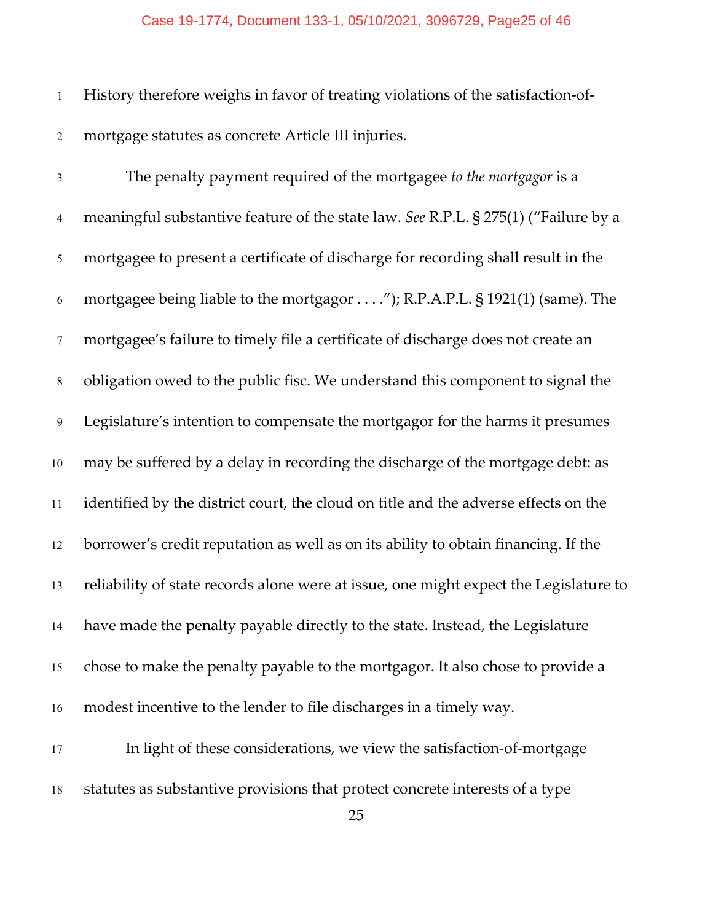History therefore weighs in favor of treating violations of the satisfaction-of-mortgage statutes as concrete Article III injuries.

 The penalty payment required of the mortgagee *to the mortgagor* is a meaningful substantive feature of the state law. *See* R.P.L. § 275(1) ("Failure by a mortgagee to present a certificate of discharge for recording shall result in the mortgagee being liable to the mortgagor . . . ."); R.P.A.P.L. § 1921(1) (same). The mortgagee's failure to timely file a certificate of discharge does not create an obligation owed to the public fisc. We understand this component to signal the Legislature's intention to compensate the mortgagor for the harms it presumes may be suffered by a delay in recording the discharge of the mortgage debt: as identified by the district court, the cloud on title and the adverse effects on the borrower's credit reputation as well as on its ability to obtain financing. If the reliability of state records alone were at issue, one might expect the Legislature to have made the penalty payable directly to the state. Instead, the Legislature chose to make the penalty payable to the mortgagor. It also chose to provide a modest incentive to the lender to file discharges in a timely way.

 In light of these considerations, we view the satisfaction-of-mortgage statutes as substantive provisions that protect concrete interests of a type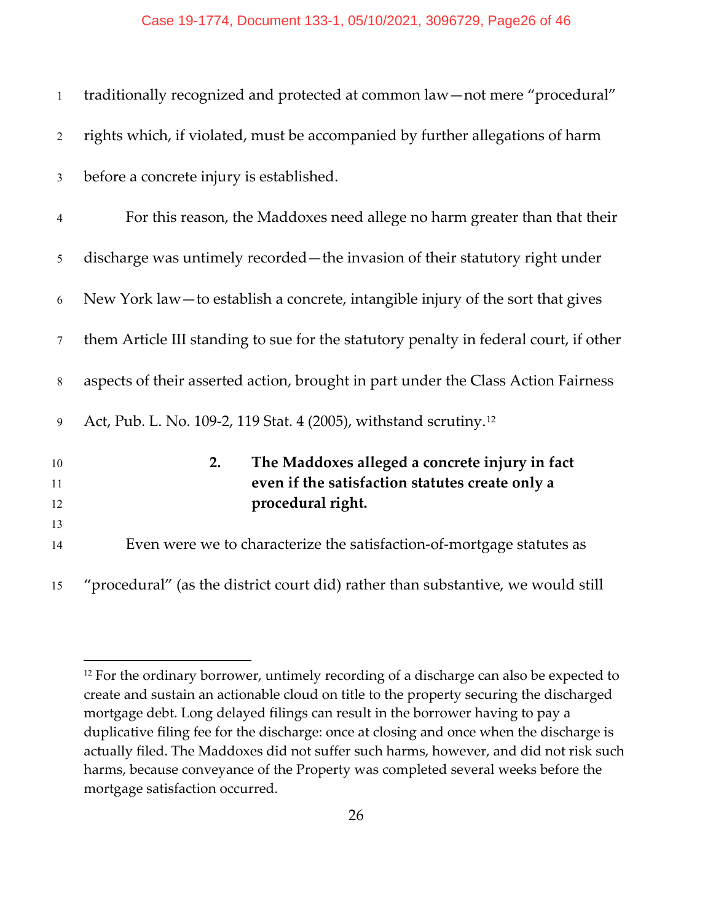| $\mathbf{1}$   | traditionally recognized and protected at common law-not mere "procedural"            |
|----------------|---------------------------------------------------------------------------------------|
| $\overline{2}$ | rights which, if violated, must be accompanied by further allegations of harm         |
| $\mathfrak{Z}$ | before a concrete injury is established.                                              |
| $\overline{4}$ | For this reason, the Maddoxes need allege no harm greater than that their             |
| 5              | discharge was untimely recorded - the invasion of their statutory right under         |
| 6              | New York law — to establish a concrete, intangible injury of the sort that gives      |
| $\tau$         | them Article III standing to sue for the statutory penalty in federal court, if other |
| 8              | aspects of their asserted action, brought in part under the Class Action Fairness     |
| 9              | Act, Pub. L. No. 109-2, 119 Stat. 4 (2005), withstand scrutiny. <sup>12</sup>         |
| 10             | The Maddoxes alleged a concrete injury in fact<br>2.                                  |
| 11             | even if the satisfaction statutes create only a                                       |
| 12             | procedural right.                                                                     |
| 13             |                                                                                       |
| 14             | Even were we to characterize the satisfaction-of-mortgage statutes as                 |
| 15             | "procedural" (as the district court did) rather than substantive, we would still      |

<span id="page-25-0"></span><sup>&</sup>lt;sup>12</sup> For the ordinary borrower, untimely recording of a discharge can also be expected to create and sustain an actionable cloud on title to the property securing the discharged mortgage debt. Long delayed filings can result in the borrower having to pay a duplicative filing fee for the discharge: once at closing and once when the discharge is actually filed. The Maddoxes did not suffer such harms, however, and did not risk such harms, because conveyance of the Property was completed several weeks before the mortgage satisfaction occurred.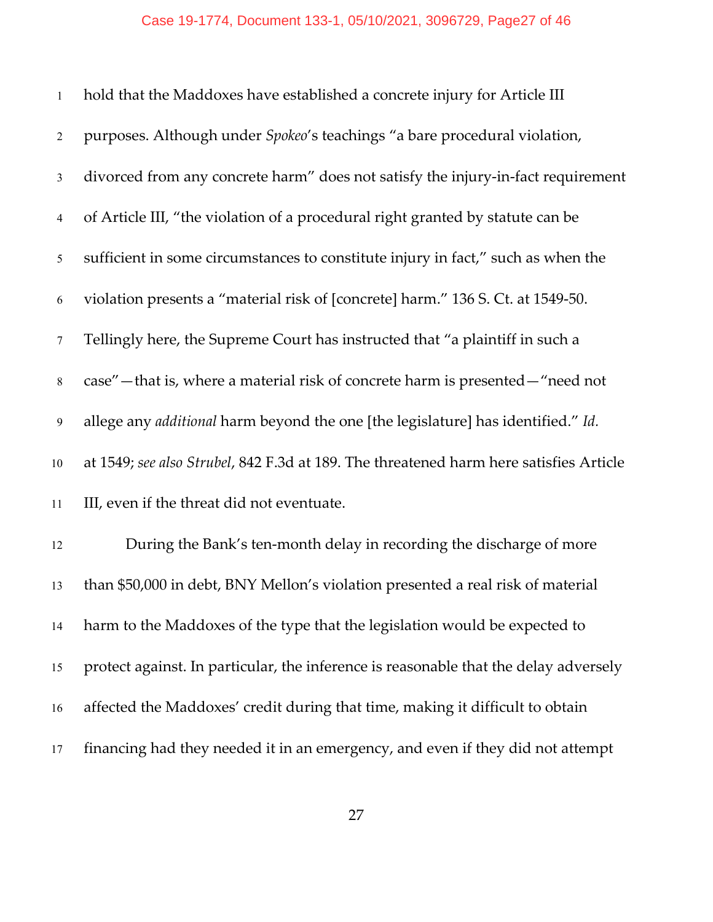| $\mathbf{1}$    | hold that the Maddoxes have established a concrete injury for Article III               |
|-----------------|-----------------------------------------------------------------------------------------|
| $\overline{2}$  | purposes. Although under Spokeo's teachings "a bare procedural violation,               |
| $\mathfrak{Z}$  | divorced from any concrete harm" does not satisfy the injury-in-fact requirement        |
| $\overline{4}$  | of Article III, "the violation of a procedural right granted by statute can be          |
| 5               | sufficient in some circumstances to constitute injury in fact," such as when the        |
| 6               | violation presents a "material risk of [concrete] harm." 136 S. Ct. at 1549-50.         |
| $7\phantom{.0}$ | Tellingly here, the Supreme Court has instructed that "a plaintiff in such a            |
| $\,8\,$         | case" - that is, where a material risk of concrete harm is presented - "need not        |
| $\overline{9}$  | allege any <i>additional</i> harm beyond the one [the legislature] has identified." Id. |
| $10\,$          | at 1549; see also Strubel, 842 F.3d at 189. The threatened harm here satisfies Article  |
| 11              | III, even if the threat did not eventuate.                                              |
| 12              | During the Bank's ten-month delay in recording the discharge of more                    |
| 13              | than \$50,000 in debt, BNY Mellon's violation presented a real risk of material         |
| 14              | harm to the Maddoxes of the type that the legislation would be expected to              |
| 15              | protect against. In particular, the inference is reasonable that the delay adversely    |
| 16              | affected the Maddoxes' credit during that time, making it difficult to obtain           |
| 17              | financing had they needed it in an emergency, and even if they did not attempt          |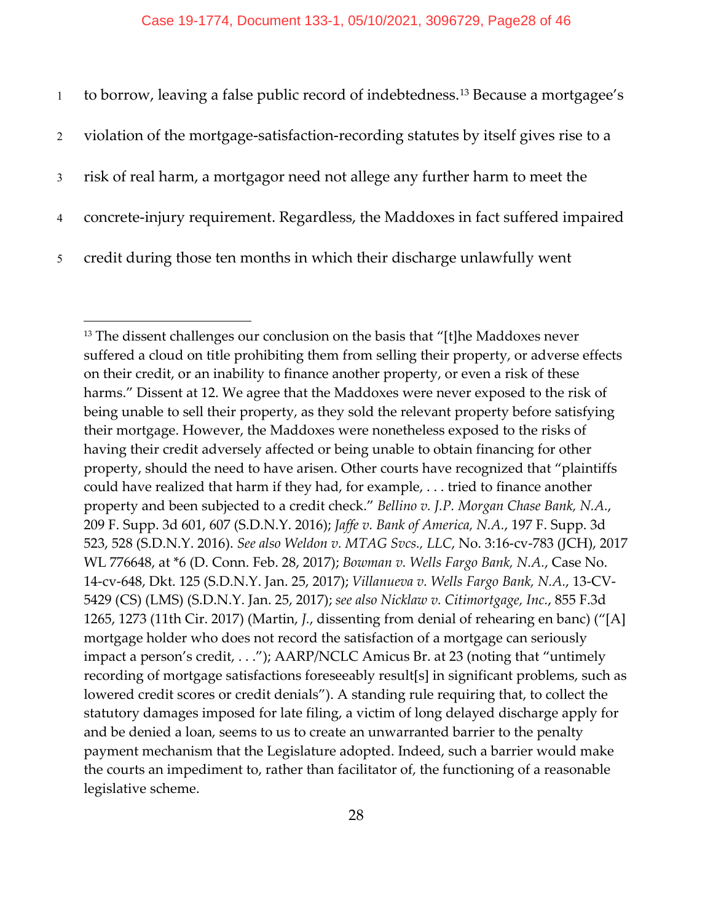| 1              | to borrow, leaving a false public record of indebtedness. <sup>13</sup> Because a mortgagee's |
|----------------|-----------------------------------------------------------------------------------------------|
| $\overline{2}$ | violation of the mortgage-satisfaction-recording statutes by itself gives rise to a           |
| 3 <sup>1</sup> | risk of real harm, a mortgagor need not allege any further harm to meet the                   |
| $\overline{4}$ | concrete-injury requirement. Regardless, the Maddoxes in fact suffered impaired               |
| 5 <sup>5</sup> | credit during those ten months in which their discharge unlawfully went                       |

<span id="page-27-0"></span><sup>&</sup>lt;sup>13</sup> The dissent challenges our conclusion on the basis that "[t]he Maddoxes never suffered a cloud on title prohibiting them from selling their property, or adverse effects on their credit, or an inability to finance another property, or even a risk of these harms." Dissent at 12. We agree that the Maddoxes were never exposed to the risk of being unable to sell their property, as they sold the relevant property before satisfying their mortgage. However, the Maddoxes were nonetheless exposed to the risks of having their credit adversely affected or being unable to obtain financing for other property, should the need to have arisen. Other courts have recognized that "plaintiffs could have realized that harm if they had, for example, . . . tried to finance another property and been subjected to a credit check." *Bellino v. J.P. Morgan Chase Bank, N.A.*, 209 F. Supp. 3d 601, 607 (S.D.N.Y. 2016); *Jaffe v. Bank of America, N.A.*, 197 F. Supp. 3d 523, 528 (S.D.N.Y. 2016). *See also Weldon v. MTAG Svcs., LLC*, No. 3:16-cv-783 (JCH), 2017 WL 776648, at \*6 (D. Conn. Feb. 28, 2017); *Bowman v. Wells Fargo Bank, N.A.*, Case No. 14-cv-648, Dkt. 125 (S.D.N.Y. Jan. 25, 2017); *Villanueva v. Wells Fargo Bank, N.A.*, 13-CV-5429 (CS) (LMS) (S.D.N.Y. Jan. 25, 2017); *see also Nicklaw v. Citimortgage, Inc.*, 855 F.3d 1265, 1273 (11th Cir. 2017) (Martin, *J.*, dissenting from denial of rehearing en banc) ("[A] mortgage holder who does not record the satisfaction of a mortgage can seriously impact a person's credit, . . ."); AARP/NCLC Amicus Br. at 23 (noting that "untimely recording of mortgage satisfactions foreseeably result[s] in significant problems, such as lowered credit scores or credit denials"). A standing rule requiring that, to collect the statutory damages imposed for late filing, a victim of long delayed discharge apply for and be denied a loan, seems to us to create an unwarranted barrier to the penalty payment mechanism that the Legislature adopted. Indeed, such a barrier would make the courts an impediment to, rather than facilitator of, the functioning of a reasonable legislative scheme.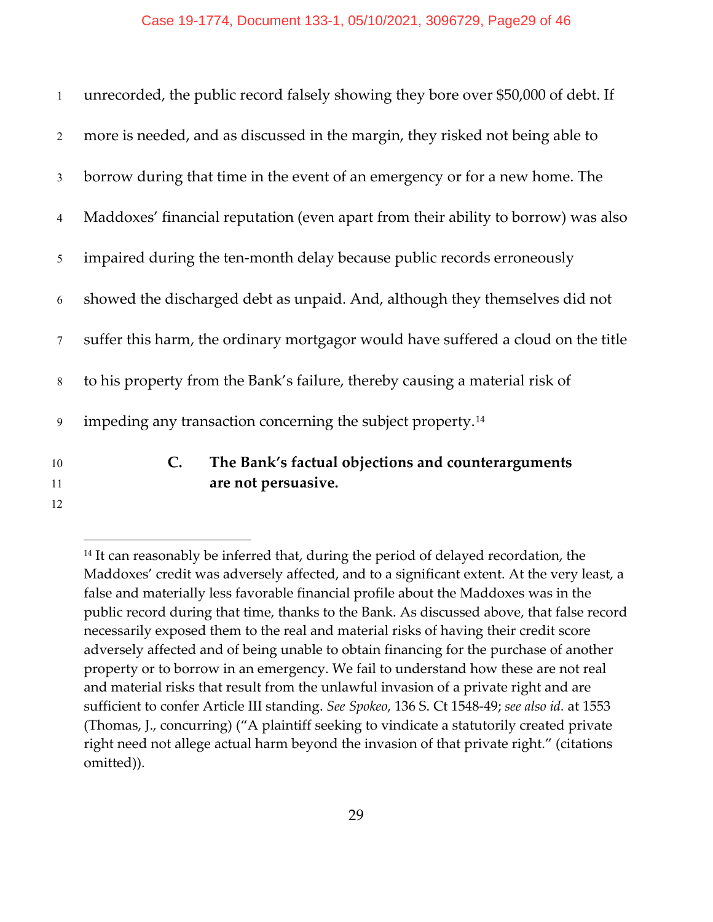| $\mathbf{1}$   | unrecorded, the public record falsely showing they bore over \$50,000 of debt. If |
|----------------|-----------------------------------------------------------------------------------|
| 2              | more is needed, and as discussed in the margin, they risked not being able to     |
| $\mathfrak{Z}$ | borrow during that time in the event of an emergency or for a new home. The       |
| $\overline{4}$ | Maddoxes' financial reputation (even apart from their ability to borrow) was also |
| 5              | impaired during the ten-month delay because public records erroneously            |
| 6              | showed the discharged debt as unpaid. And, although they themselves did not       |
| $\tau$         | suffer this harm, the ordinary mortgagor would have suffered a cloud on the title |
| 8              | to his property from the Bank's failure, thereby causing a material risk of       |
| 9              | impeding any transaction concerning the subject property. <sup>14</sup>           |
| 10             | The Bank's factual objections and counterarguments<br>$\mathbf{C}$ .              |
| 11             | are not persuasive.                                                               |
| 12             |                                                                                   |

<span id="page-28-0"></span><sup>&</sup>lt;sup>14</sup> It can reasonably be inferred that, during the period of delayed recordation, the Maddoxes' credit was adversely affected, and to a significant extent. At the very least, a false and materially less favorable financial profile about the Maddoxes was in the public record during that time, thanks to the Bank. As discussed above, that false record necessarily exposed them to the real and material risks of having their credit score adversely affected and of being unable to obtain financing for the purchase of another property or to borrow in an emergency. We fail to understand how these are not real and material risks that result from the unlawful invasion of a private right and are sufficient to confer Article III standing. *See Spokeo*, 136 S. Ct 1548-49; *see also id.* at 1553 (Thomas, J., concurring) ("A plaintiff seeking to vindicate a statutorily created private right need not allege actual harm beyond the invasion of that private right." (citations omitted)).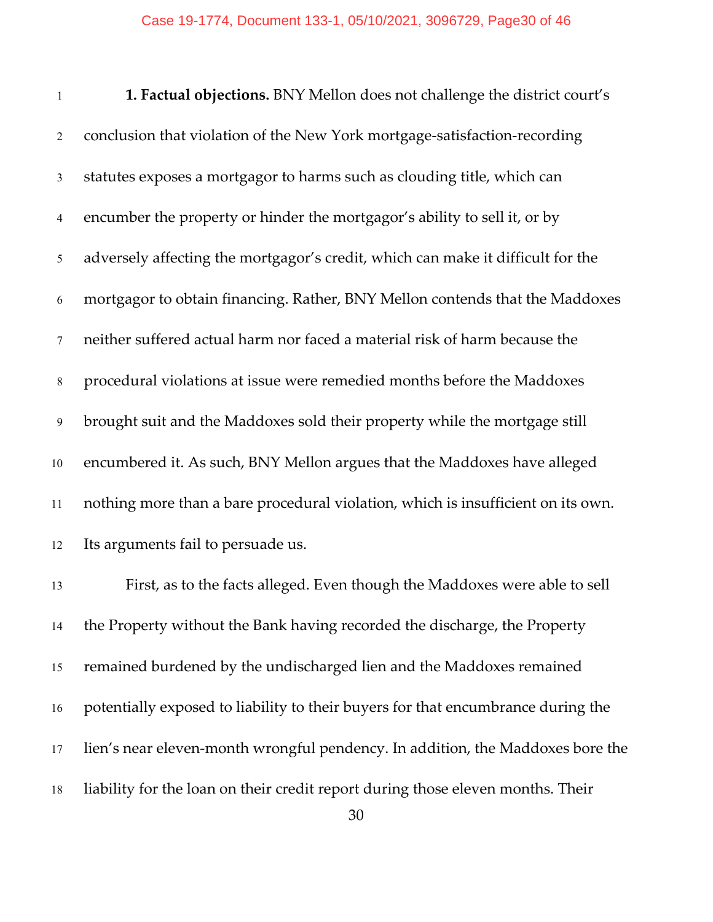| $\mathbf{1}$   | 1. Factual objections. BNY Mellon does not challenge the district court's        |
|----------------|----------------------------------------------------------------------------------|
| 2              | conclusion that violation of the New York mortgage-satisfaction-recording        |
| $\mathfrak{Z}$ | statutes exposes a mortgagor to harms such as clouding title, which can          |
| $\overline{4}$ | encumber the property or hinder the mortgagor's ability to sell it, or by        |
| 5              | adversely affecting the mortgagor's credit, which can make it difficult for the  |
| 6              | mortgagor to obtain financing. Rather, BNY Mellon contends that the Maddoxes     |
| $\tau$         | neither suffered actual harm nor faced a material risk of harm because the       |
| $\,8\,$        | procedural violations at issue were remedied months before the Maddoxes          |
| 9              | brought suit and the Maddoxes sold their property while the mortgage still       |
| $10\,$         | encumbered it. As such, BNY Mellon argues that the Maddoxes have alleged         |
| 11             | nothing more than a bare procedural violation, which is insufficient on its own. |
| 12             | Its arguments fail to persuade us.                                               |

 First, as to the facts alleged. Even though the Maddoxes were able to sell the Property without the Bank having recorded the discharge, the Property remained burdened by the undischarged lien and the Maddoxes remained potentially exposed to liability to their buyers for that encumbrance during the lien's near eleven-month wrongful pendency. In addition, the Maddoxes bore the liability for the loan on their credit report during those eleven months. Their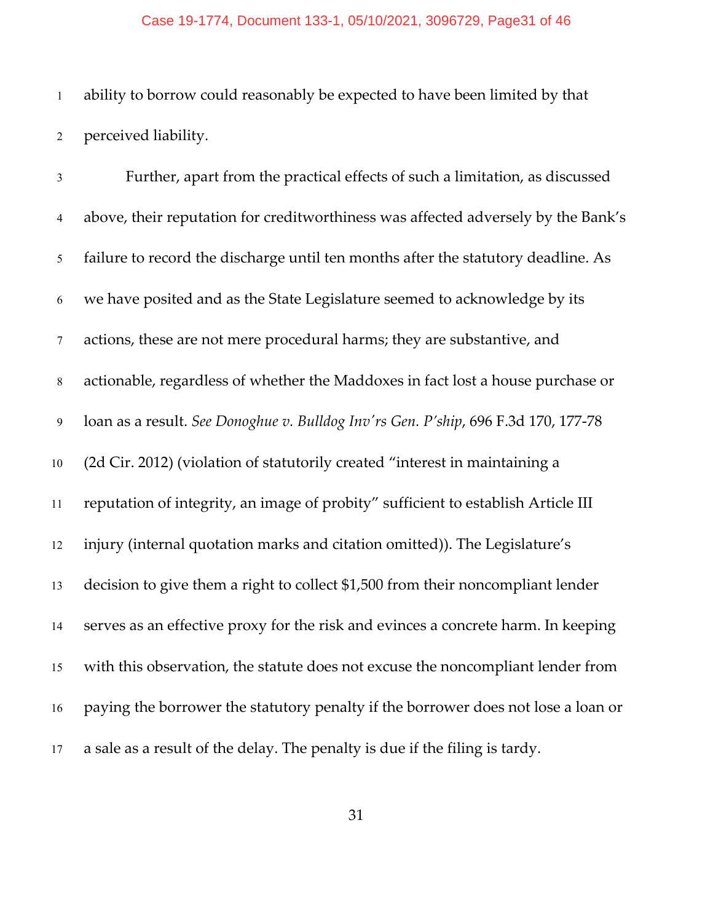#### Case 19-1774, Document 133-1, 05/10/2021, 3096729, Page31 of 46

 ability to borrow could reasonably be expected to have been limited by that perceived liability.

 Further, apart from the practical effects of such a limitation, as discussed above, their reputation for creditworthiness was affected adversely by the Bank's failure to record the discharge until ten months after the statutory deadline. As we have posited and as the State Legislature seemed to acknowledge by its actions, these are not mere procedural harms; they are substantive, and actionable, regardless of whether the Maddoxes in fact lost a house purchase or loan as a result. *See Donoghue v. Bulldog Inv'rs Gen. P'ship*, 696 F.3d 170, 177-78 (2d Cir. 2012) (violation of statutorily created "interest in maintaining a reputation of integrity, an image of probity" sufficient to establish Article III injury (internal quotation marks and citation omitted)). The Legislature's decision to give them a right to collect \$1,500 from their noncompliant lender serves as an effective proxy for the risk and evinces a concrete harm. In keeping with this observation, the statute does not excuse the noncompliant lender from paying the borrower the statutory penalty if the borrower does not lose a loan or a sale as a result of the delay. The penalty is due if the filing is tardy.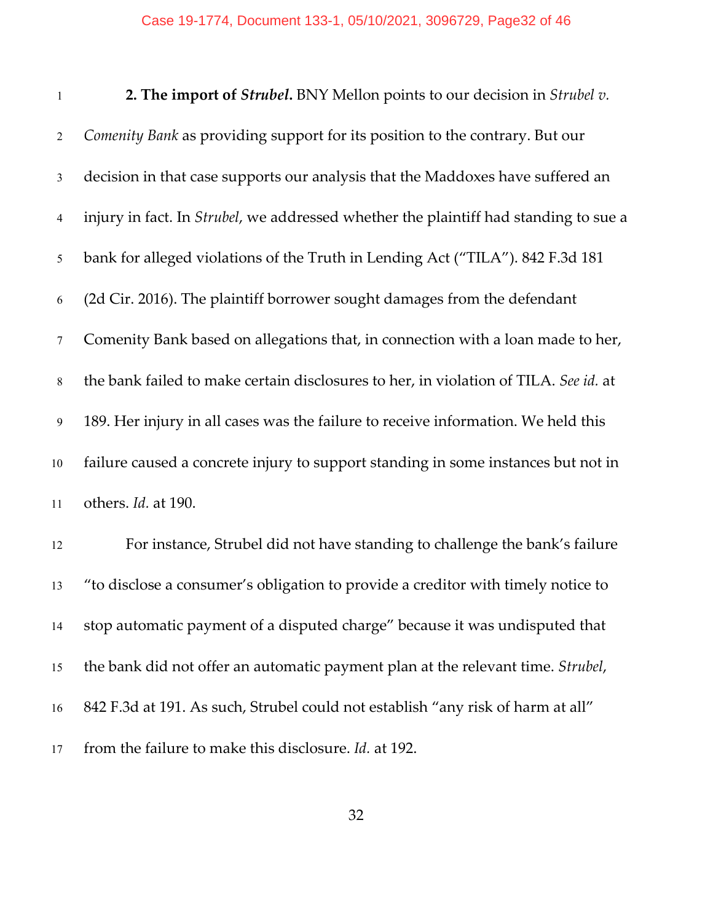| $\mathbf{1}$   | 2. The import of Strubel. BNY Mellon points to our decision in Strubel v.            |
|----------------|--------------------------------------------------------------------------------------|
| $\overline{2}$ | Comenity Bank as providing support for its position to the contrary. But our         |
| $\mathfrak{Z}$ | decision in that case supports our analysis that the Maddoxes have suffered an       |
| $\overline{4}$ | injury in fact. In Strubel, we addressed whether the plaintiff had standing to sue a |
| $\mathfrak{S}$ | bank for alleged violations of the Truth in Lending Act ("TILA"). 842 F.3d 181       |
| 6              | (2d Cir. 2016). The plaintiff borrower sought damages from the defendant             |
| $\tau$         | Comenity Bank based on allegations that, in connection with a loan made to her,      |
| $8\,$          | the bank failed to make certain disclosures to her, in violation of TILA. See id. at |
| $\overline{9}$ | 189. Her injury in all cases was the failure to receive information. We held this    |
| 10             | failure caused a concrete injury to support standing in some instances but not in    |
| 11             | others. Id. at 190.                                                                  |
| 12             | For instance, Strubel did not have standing to challenge the bank's failure          |
| 13             | "to disclose a consumer's obligation to provide a creditor with timely notice to     |
| 14             | stop automatic payment of a disputed charge" because it was undisputed that          |
| 15             | the bank did not offer an automatic payment plan at the relevant time. Strubel,      |

842 F.3d at 191. As such, Strubel could not establish "any risk of harm at all"

from the failure to make this disclosure. *Id.* at 192.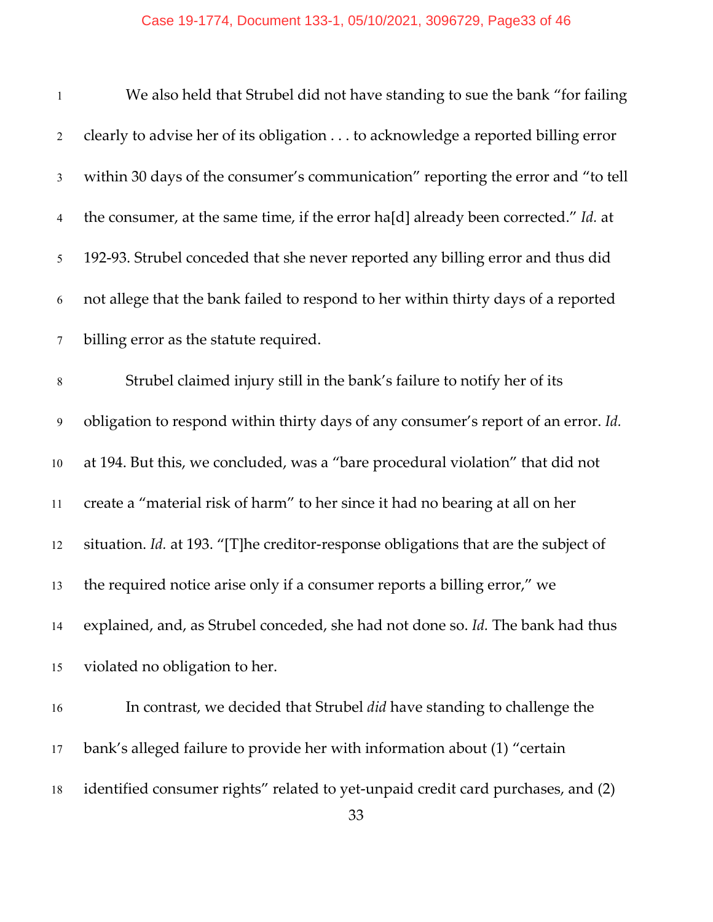### Case 19-1774, Document 133-1, 05/10/2021, 3096729, Page33 of 46

| $\mathbf{1}$     | We also held that Strubel did not have standing to sue the bank "for failing        |
|------------------|-------------------------------------------------------------------------------------|
| $\overline{2}$   | clearly to advise her of its obligation to acknowledge a reported billing error     |
| $\mathfrak{Z}$   | within 30 days of the consumer's communication" reporting the error and "to tell    |
| 4                | the consumer, at the same time, if the error ha[d] already been corrected." Id. at  |
| 5                | 192-93. Strubel conceded that she never reported any billing error and thus did     |
| 6                | not allege that the bank failed to respond to her within thirty days of a reported  |
| $\tau$           | billing error as the statute required.                                              |
| $\,8\,$          | Strubel claimed injury still in the bank's failure to notify her of its             |
| $\boldsymbol{9}$ | obligation to respond within thirty days of any consumer's report of an error. Id.  |
| $10\,$           | at 194. But this, we concluded, was a "bare procedural violation" that did not      |
| 11               | create a "material risk of harm" to her since it had no bearing at all on her       |
| 12               | situation. Id. at 193. "[T]he creditor-response obligations that are the subject of |
| 13               | the required notice arise only if a consumer reports a billing error," we           |
| 14               | explained, and, as Strubel conceded, she had not done so. Id. The bank had thus     |
| 15               | violated no obligation to her.                                                      |
| 16               | In contrast, we decided that Strubel did have standing to challenge the             |
| 17               | bank's alleged failure to provide her with information about (1) "certain           |
| 18               | identified consumer rights" related to yet-unpaid credit card purchases, and (2)    |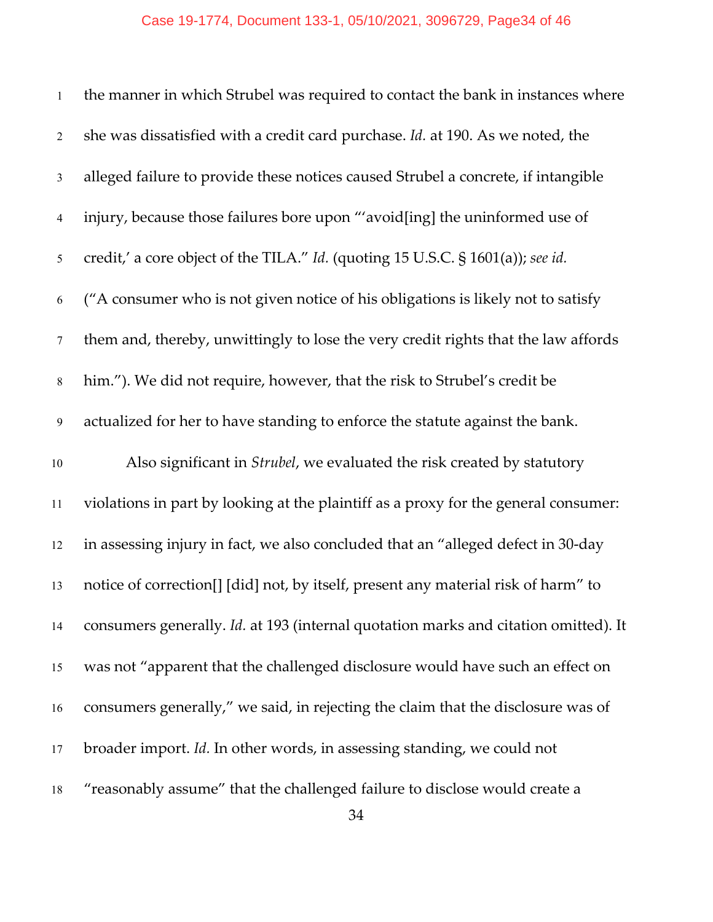| $\mathbf{1}$    | the manner in which Strubel was required to contact the bank in instances where     |
|-----------------|-------------------------------------------------------------------------------------|
| $\overline{2}$  | she was dissatisfied with a credit card purchase. Id. at 190. As we noted, the      |
| $\mathfrak{Z}$  | alleged failure to provide these notices caused Strubel a concrete, if intangible   |
| $\overline{4}$  | injury, because those failures bore upon "'avoid[ing] the uninformed use of         |
| 5               | credit,' a core object of the TILA." Id. (quoting 15 U.S.C. § 1601(a)); see id.     |
| 6               | ("A consumer who is not given notice of his obligations is likely not to satisfy    |
| $7\phantom{.0}$ | them and, thereby, unwittingly to lose the very credit rights that the law affords  |
| $8\,$           | him."). We did not require, however, that the risk to Strubel's credit be           |
| 9               | actualized for her to have standing to enforce the statute against the bank.        |
| 10              | Also significant in Strubel, we evaluated the risk created by statutory             |
| 11              | violations in part by looking at the plaintiff as a proxy for the general consumer: |
| 12              | in assessing injury in fact, we also concluded that an "alleged defect in 30-day    |
| 13              | notice of correction[] [did] not, by itself, present any material risk of harm" to  |
| 14              | consumers generally. Id. at 193 (internal quotation marks and citation omitted). It |
| 15              | was not "apparent that the challenged disclosure would have such an effect on       |
| 16              | consumers generally," we said, in rejecting the claim that the disclosure was of    |
| 17              | broader import. Id. In other words, in assessing standing, we could not             |
| 18              | "reasonably assume" that the challenged failure to disclose would create a          |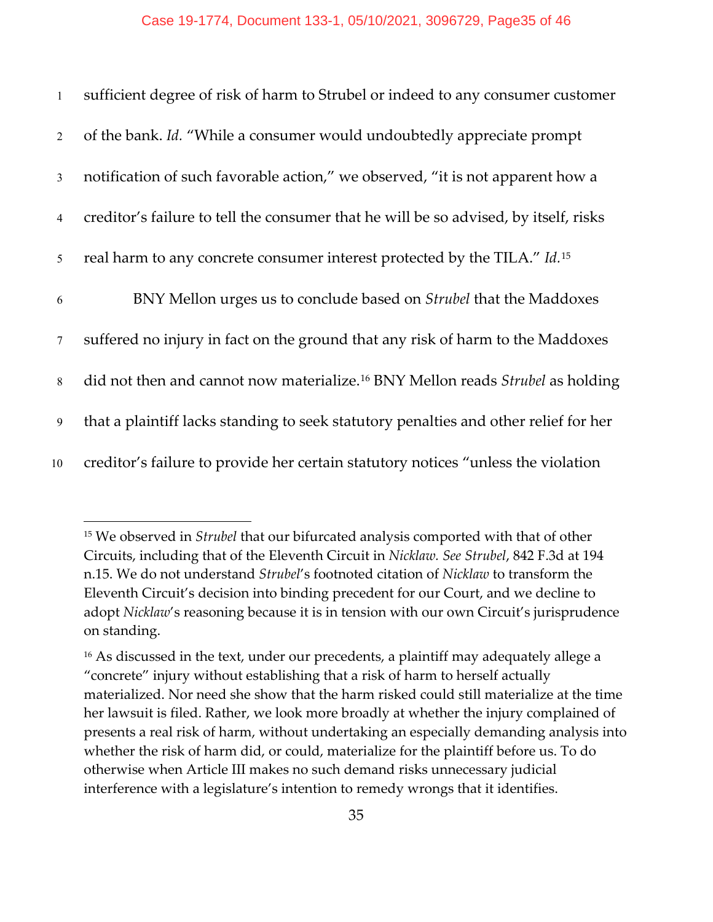| $\mathbf{1}$   | sufficient degree of risk of harm to Strubel or indeed to any consumer customer                   |
|----------------|---------------------------------------------------------------------------------------------------|
| $\overline{2}$ | of the bank. Id. "While a consumer would undoubtedly appreciate prompt                            |
| $\mathfrak{Z}$ | notification of such favorable action," we observed, "it is not apparent how a                    |
| $\overline{4}$ | creditor's failure to tell the consumer that he will be so advised, by itself, risks              |
| 5              | real harm to any concrete consumer interest protected by the TILA." Id. <sup>15</sup>             |
| 6              | BNY Mellon urges us to conclude based on <i>Strubel</i> that the Maddoxes                         |
| $\tau$         | suffered no injury in fact on the ground that any risk of harm to the Maddoxes                    |
| 8              | did not then and cannot now materialize. <sup>16</sup> BNY Mellon reads <i>Strubel</i> as holding |
| 9              | that a plaintiff lacks standing to seek statutory penalties and other relief for her              |
| 10             | creditor's failure to provide her certain statutory notices "unless the violation                 |

<span id="page-34-0"></span><sup>15</sup> We observed in *Strubel* that our bifurcated analysis comported with that of other Circuits, including that of the Eleventh Circuit in *Nicklaw. See Strubel*, 842 F.3d at 194 n.15. We do not understand *Strubel*'s footnoted citation of *Nicklaw* to transform the Eleventh Circuit's decision into binding precedent for our Court, and we decline to adopt *Nicklaw*'s reasoning because it is in tension with our own Circuit's jurisprudence on standing.

<span id="page-34-1"></span><sup>&</sup>lt;sup>16</sup> As discussed in the text, under our precedents, a plaintiff may adequately allege a "concrete" injury without establishing that a risk of harm to herself actually materialized. Nor need she show that the harm risked could still materialize at the time her lawsuit is filed. Rather, we look more broadly at whether the injury complained of presents a real risk of harm, without undertaking an especially demanding analysis into whether the risk of harm did, or could, materialize for the plaintiff before us. To do otherwise when Article III makes no such demand risks unnecessary judicial interference with a legislature's intention to remedy wrongs that it identifies.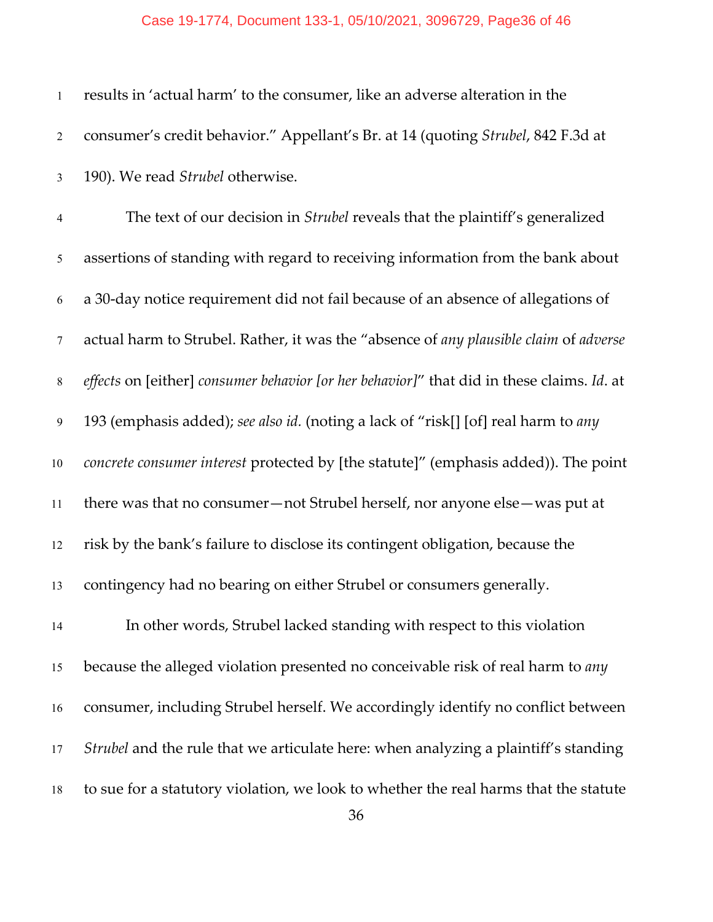| $\mathbf{1}$   | results in 'actual harm' to the consumer, like an adverse alteration in the               |
|----------------|-------------------------------------------------------------------------------------------|
| $\overline{2}$ | consumer's credit behavior." Appellant's Br. at 14 (quoting Strubel, 842 F.3d at          |
| $\mathfrak{Z}$ | 190). We read Strubel otherwise.                                                          |
| $\overline{4}$ | The text of our decision in <i>Strubel</i> reveals that the plaintiff's generalized       |
| 5              | assertions of standing with regard to receiving information from the bank about           |
| 6              | a 30-day notice requirement did not fail because of an absence of allegations of          |
| $\tau$         | actual harm to Strubel. Rather, it was the "absence of any plausible claim of adverse     |
| $8\,$          | effects on [either] consumer behavior [or her behavior]" that did in these claims. Id. at |
| $\overline{9}$ | 193 (emphasis added); see also id. (noting a lack of "risk[] [of] real harm to any        |
| 10             | concrete consumer interest protected by [the statute]" (emphasis added)). The point       |
| $11\,$         | there was that no consumer-not Strubel herself, nor anyone else-was put at                |
| 12             | risk by the bank's failure to disclose its contingent obligation, because the             |
| 13             | contingency had no bearing on either Strubel or consumers generally.                      |
| 14             | In other words, Strubel lacked standing with respect to this violation                    |
| 15             | because the alleged violation presented no conceivable risk of real harm to any           |
| 16             | consumer, including Strubel herself. We accordingly identify no conflict between          |
| 17             | Strubel and the rule that we articulate here: when analyzing a plaintiff's standing       |
| 18             | to sue for a statutory violation, we look to whether the real harms that the statute      |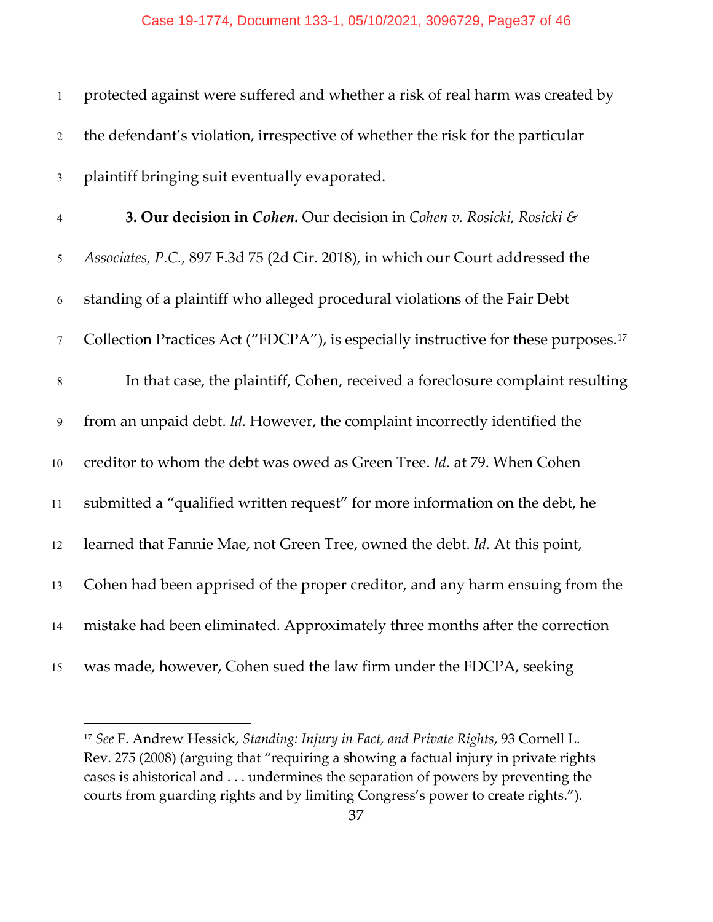| $\mathbf{1}$   | protected against were suffered and whether a risk of real harm was created by                  |
|----------------|-------------------------------------------------------------------------------------------------|
| $\overline{2}$ | the defendant's violation, irrespective of whether the risk for the particular                  |
| $\mathfrak{Z}$ | plaintiff bringing suit eventually evaporated.                                                  |
| $\overline{4}$ | <b>3. Our decision in Cohen.</b> Our decision in Cohen v. Rosicki, Rosicki &                    |
| 5              | Associates, P.C., 897 F.3d 75 (2d Cir. 2018), in which our Court addressed the                  |
| 6              | standing of a plaintiff who alleged procedural violations of the Fair Debt                      |
| $\tau$         | Collection Practices Act ("FDCPA"), is especially instructive for these purposes. <sup>17</sup> |
| $\,8\,$        | In that case, the plaintiff, Cohen, received a foreclosure complaint resulting                  |
| 9              | from an unpaid debt. Id. However, the complaint incorrectly identified the                      |
| 10             | creditor to whom the debt was owed as Green Tree. Id. at 79. When Cohen                         |
| 11             | submitted a "qualified written request" for more information on the debt, he                    |
| 12             | learned that Fannie Mae, not Green Tree, owned the debt. Id. At this point,                     |
| 13             | Cohen had been apprised of the proper creditor, and any harm ensuing from the                   |
| 14             | mistake had been eliminated. Approximately three months after the correction                    |
| 15             | was made, however, Cohen sued the law firm under the FDCPA, seeking                             |

<span id="page-36-0"></span> *See* F. Andrew Hessick, *Standing: Injury in Fact, and Private Rights*, 93 Cornell L. Rev. 275 (2008) (arguing that "requiring a showing a factual injury in private rights cases is ahistorical and . . . undermines the separation of powers by preventing the courts from guarding rights and by limiting Congress's power to create rights.").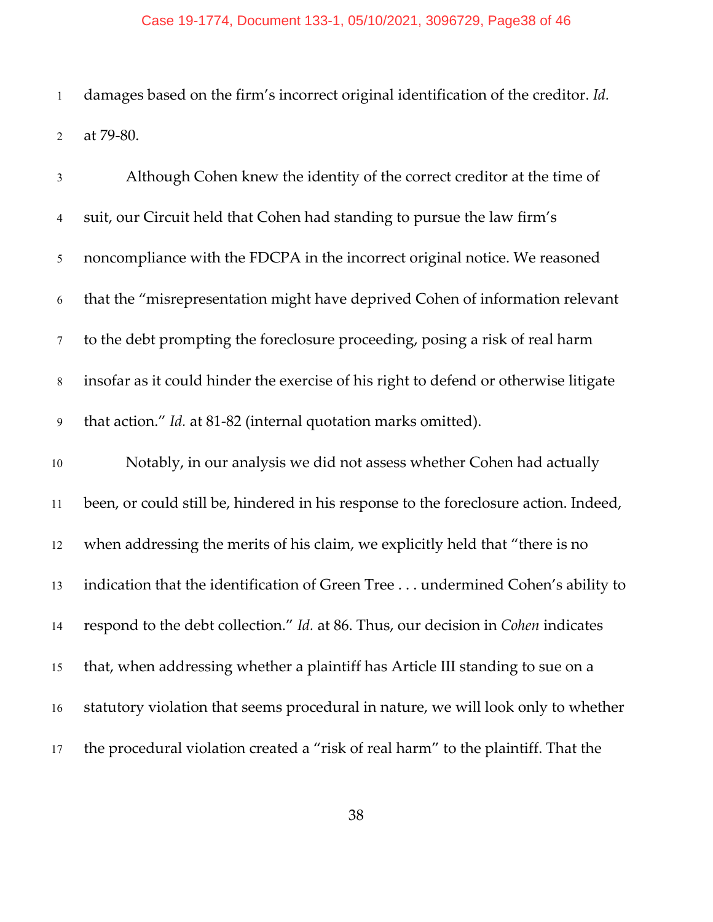### Case 19-1774, Document 133-1, 05/10/2021, 3096729, Page38 of 46

 damages based on the firm's incorrect original identification of the creditor. *Id.*  at 79-80.

| $\mathfrak{Z}$ | Although Cohen knew the identity of the correct creditor at the time of              |
|----------------|--------------------------------------------------------------------------------------|
| $\overline{4}$ | suit, our Circuit held that Cohen had standing to pursue the law firm's              |
| 5              | noncompliance with the FDCPA in the incorrect original notice. We reasoned           |
| $\sqrt{6}$     | that the "misrepresentation might have deprived Cohen of information relevant        |
| $\tau$         | to the debt prompting the foreclosure proceeding, posing a risk of real harm         |
| 8              | insofar as it could hinder the exercise of his right to defend or otherwise litigate |
| 9              | that action." Id. at 81-82 (internal quotation marks omitted).                       |
| 10             | Notably, in our analysis we did not assess whether Cohen had actually                |
| 11             | been, or could still be, hindered in his response to the foreclosure action. Indeed, |
| 12             | when addressing the merits of his claim, we explicitly held that "there is no        |
| 13             | indication that the identification of Green Tree undermined Cohen's ability to       |
| 14             | respond to the debt collection." Id. at 86. Thus, our decision in Cohen indicates    |
| 15             | that, when addressing whether a plaintiff has Article III standing to sue on a       |
| 16             | statutory violation that seems procedural in nature, we will look only to whether    |
| 17             | the procedural violation created a "risk of real harm" to the plaintiff. That the    |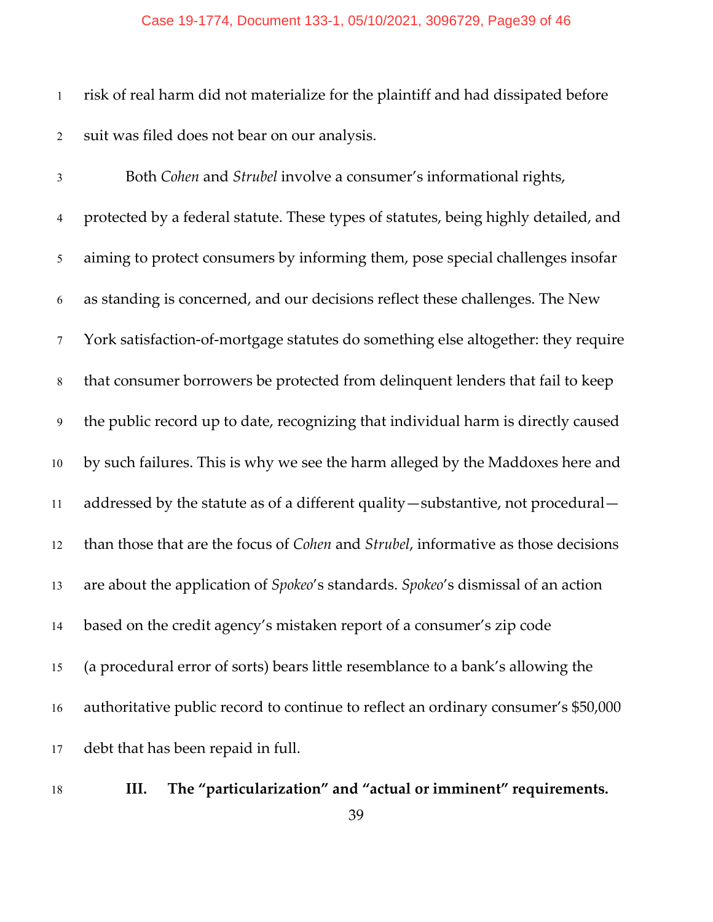#### Case 19-1774, Document 133-1, 05/10/2021, 3096729, Page39 of 46

 risk of real harm did not materialize for the plaintiff and had dissipated before suit was filed does not bear on our analysis.

 Both *Cohen* and *Strubel* involve a consumer's informational rights, protected by a federal statute. These types of statutes, being highly detailed, and aiming to protect consumers by informing them, pose special challenges insofar as standing is concerned, and our decisions reflect these challenges. The New York satisfaction-of-mortgage statutes do something else altogether: they require that consumer borrowers be protected from delinquent lenders that fail to keep the public record up to date, recognizing that individual harm is directly caused by such failures. This is why we see the harm alleged by the Maddoxes here and addressed by the statute as of a different quality—substantive, not procedural— than those that are the focus of *Cohen* and *Strubel*, informative as those decisions are about the application of *Spokeo*'s standards. *Spokeo*'s dismissal of an action based on the credit agency's mistaken report of a consumer's zip code (a procedural error of sorts) bears little resemblance to a bank's allowing the authoritative public record to continue to reflect an ordinary consumer's \$50,000 debt that has been repaid in full.

**III. The "particularization" and "actual or imminent" requirements.**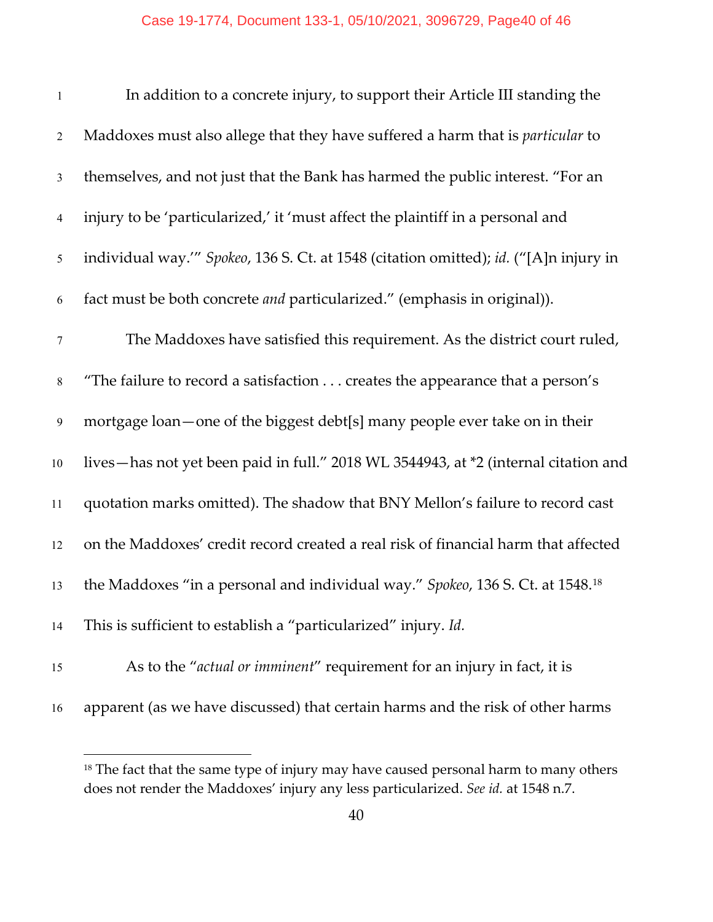| $\mathbf{1}$   | In addition to a concrete injury, to support their Article III standing the           |
|----------------|---------------------------------------------------------------------------------------|
| $\overline{2}$ | Maddoxes must also allege that they have suffered a harm that is <i>particular</i> to |
| $\mathfrak{Z}$ | themselves, and not just that the Bank has harmed the public interest. "For an        |
| $\overline{4}$ | injury to be 'particularized,' it 'must affect the plaintiff in a personal and        |
| 5              | individual way." Spokeo, 136 S. Ct. at 1548 (citation omitted); id. ("[A]n injury in  |
| 6              | fact must be both concrete <i>and</i> particularized." (emphasis in original)).       |
| $\tau$         | The Maddoxes have satisfied this requirement. As the district court ruled,            |
| $\,8\,$        | "The failure to record a satisfaction creates the appearance that a person's          |
| 9              | mortgage loan—one of the biggest debt[s] many people ever take on in their            |
| 10             | lives-has not yet been paid in full." 2018 WL 3544943, at *2 (internal citation and   |
| 11             | quotation marks omitted). The shadow that BNY Mellon's failure to record cast         |
| 12             | on the Maddoxes' credit record created a real risk of financial harm that affected    |
| 13             | the Maddoxes "in a personal and individual way." Spokeo, 136 S. Ct. at 1548.18        |
| 14             | This is sufficient to establish a "particularized" injury. Id.                        |
| 15             | As to the "actual or imminent" requirement for an injury in fact, it is               |
| 16             | apparent (as we have discussed) that certain harms and the risk of other harms        |

<span id="page-39-0"></span><sup>&</sup>lt;sup>18</sup> The fact that the same type of injury may have caused personal harm to many others does not render the Maddoxes' injury any less particularized. *See id.* at 1548 n.7.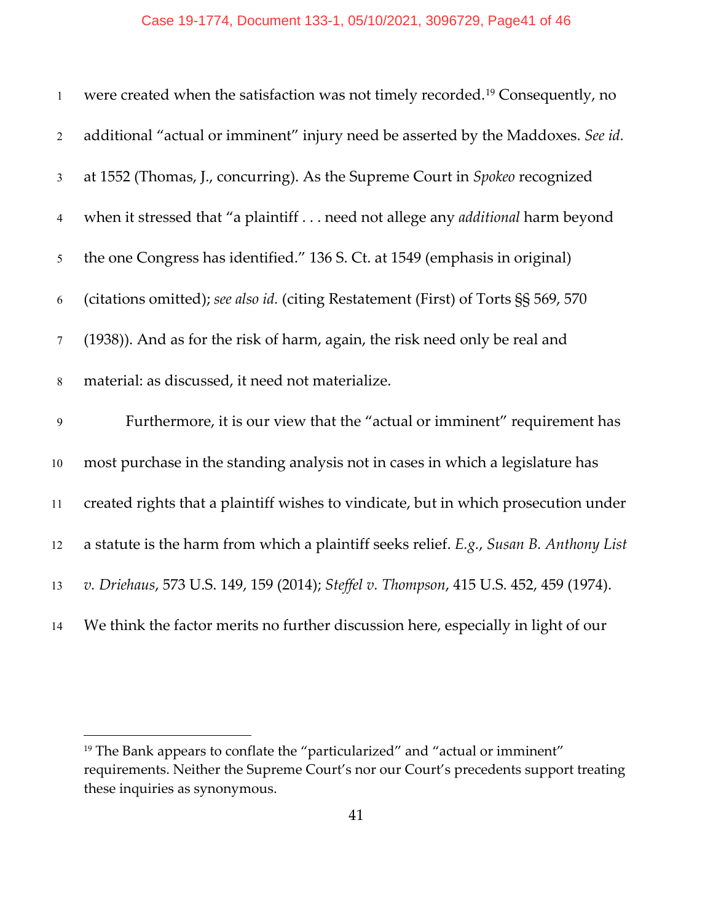| $\mathbf{1}$    | were created when the satisfaction was not timely recorded. <sup>19</sup> Consequently, no |
|-----------------|--------------------------------------------------------------------------------------------|
| 2               | additional "actual or imminent" injury need be asserted by the Maddoxes. See id.           |
| $\mathfrak{Z}$  | at 1552 (Thomas, J., concurring). As the Supreme Court in Spokeo recognized                |
| $\overline{4}$  | when it stressed that "a plaintiff need not allege any <i>additional</i> harm beyond       |
| 5               | the one Congress has identified." 136 S. Ct. at 1549 (emphasis in original)                |
| 6               | (citations omitted); see also id. (citing Restatement (First) of Torts §§ 569, 570         |
| $7\phantom{.0}$ | (1938)). And as for the risk of harm, again, the risk need only be real and                |
| $\,8\,$         | material: as discussed, it need not materialize.                                           |
| $\mathfrak{g}$  | Furthermore, it is our view that the "actual or imminent" requirement has                  |
| $10\,$          | most purchase in the standing analysis not in cases in which a legislature has             |
| 11              | created rights that a plaintiff wishes to vindicate, but in which prosecution under        |
| 12              | a statute is the harm from which a plaintiff seeks relief. E.g., Susan B. Anthony List     |
| 13              | v. Driehaus, 573 U.S. 149, 159 (2014); Steffel v. Thompson, 415 U.S. 452, 459 (1974).      |
| 14              | We think the factor merits no further discussion here, especially in light of our          |

<span id="page-40-0"></span><sup>&</sup>lt;sup>19</sup> The Bank appears to conflate the "particularized" and "actual or imminent" requirements. Neither the Supreme Court's nor our Court's precedents support treating these inquiries as synonymous.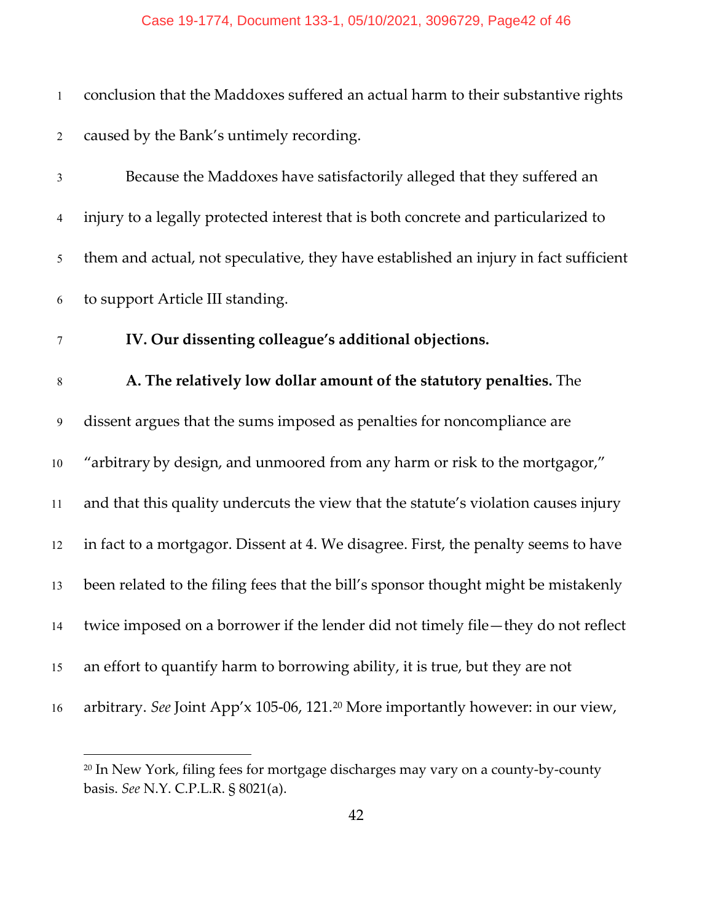| $\mathbf{1}$   | conclusion that the Maddoxes suffered an actual harm to their substantive rights             |
|----------------|----------------------------------------------------------------------------------------------|
| $\overline{2}$ | caused by the Bank's untimely recording.                                                     |
| 3              | Because the Maddoxes have satisfactorily alleged that they suffered an                       |
| 4              | injury to a legally protected interest that is both concrete and particularized to           |
| 5              | them and actual, not speculative, they have established an injury in fact sufficient         |
| 6              | to support Article III standing.                                                             |
| $\tau$         | IV. Our dissenting colleague's additional objections.                                        |
| $\,8\,$        | A. The relatively low dollar amount of the statutory penalties. The                          |
| $\overline{9}$ | dissent argues that the sums imposed as penalties for noncompliance are                      |
| $10\,$         | "arbitrary by design, and unmoored from any harm or risk to the mortgagor,"                  |
| 11             | and that this quality undercuts the view that the statute's violation causes injury          |
| 12             | in fact to a mortgagor. Dissent at 4. We disagree. First, the penalty seems to have          |
| 13             | been related to the filing fees that the bill's sponsor thought might be mistakenly          |
| 14             | twice imposed on a borrower if the lender did not timely file—they do not reflect            |
| 15             | an effort to quantify harm to borrowing ability, it is true, but they are not                |
| 16             | arbitrary. See Joint App'x 105-06, 121. <sup>20</sup> More importantly however: in our view, |
|                |                                                                                              |

<span id="page-41-0"></span><sup>&</sup>lt;sup>20</sup> In New York, filing fees for mortgage discharges may vary on a county-by-county basis. *See* N.Y. C.P.L.R. § 8021(a).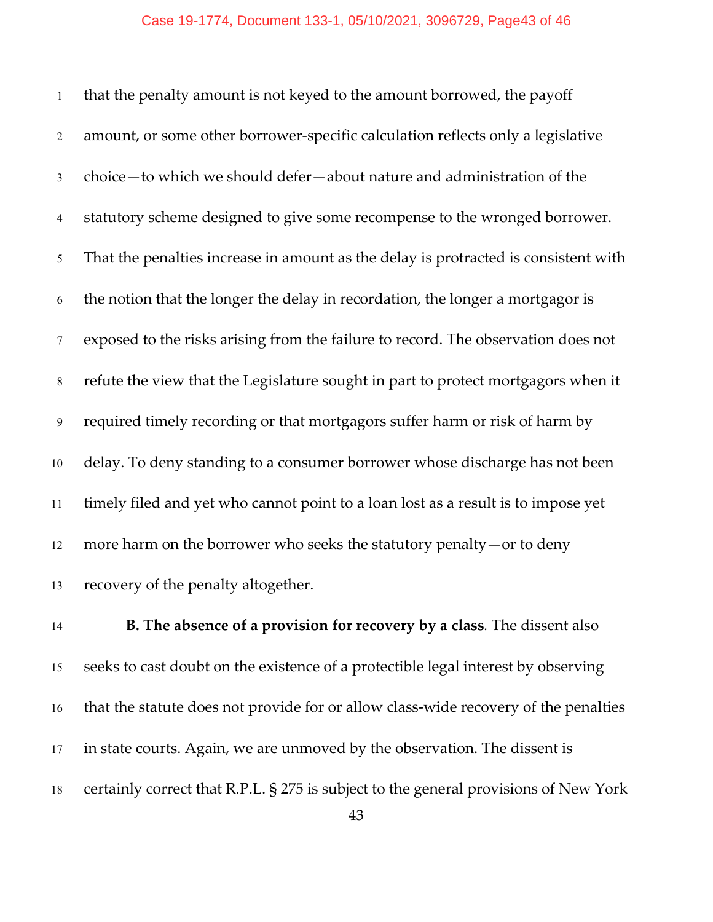that the penalty amount is not keyed to the amount borrowed, the payoff amount, or some other borrower-specific calculation reflects only a legislative choice—to which we should defer—about nature and administration of the statutory scheme designed to give some recompense to the wronged borrower. That the penalties increase in amount as the delay is protracted is consistent with the notion that the longer the delay in recordation, the longer a mortgagor is exposed to the risks arising from the failure to record. The observation does not refute the view that the Legislature sought in part to protect mortgagors when it required timely recording or that mortgagors suffer harm or risk of harm by delay. To deny standing to a consumer borrower whose discharge has not been timely filed and yet who cannot point to a loan lost as a result is to impose yet more harm on the borrower who seeks the statutory penalty—or to deny recovery of the penalty altogether.

 **B. The absence of a provision for recovery by a class***.* The dissent also seeks to cast doubt on the existence of a protectible legal interest by observing that the statute does not provide for or allow class-wide recovery of the penalties in state courts. Again, we are unmoved by the observation. The dissent is certainly correct that R.P.L. § 275 is subject to the general provisions of New York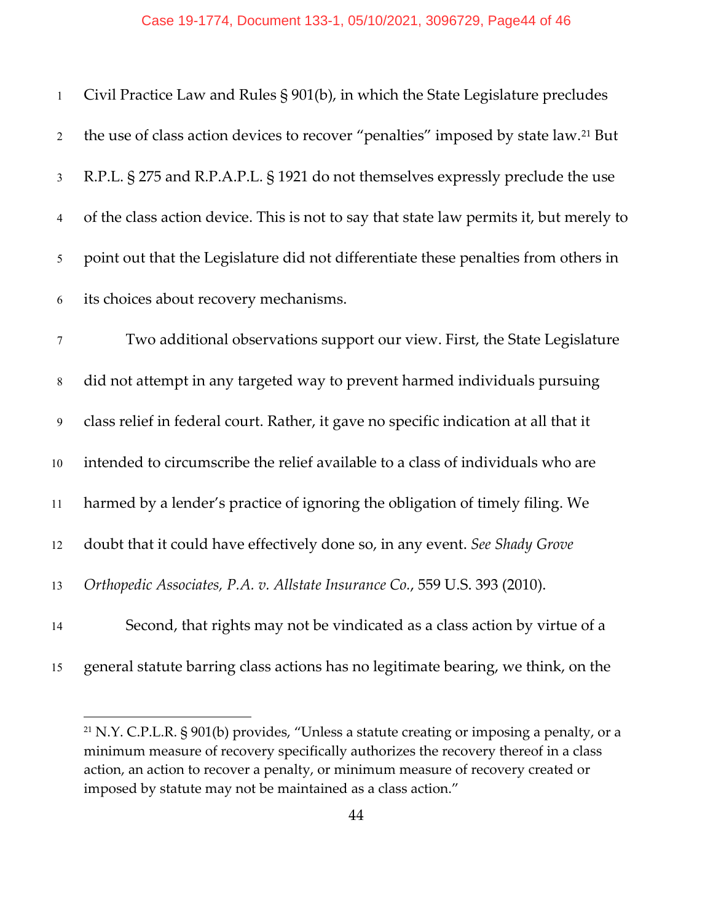| $1\,$          | Civil Practice Law and Rules § 901(b), in which the State Legislature precludes                |
|----------------|------------------------------------------------------------------------------------------------|
| $\overline{2}$ | the use of class action devices to recover "penalties" imposed by state law. <sup>21</sup> But |
| $\mathfrak{Z}$ | R.P.L. § 275 and R.P.A.P.L. § 1921 do not themselves expressly preclude the use                |
| $\overline{4}$ | of the class action device. This is not to say that state law permits it, but merely to        |
| $\mathfrak{S}$ | point out that the Legislature did not differentiate these penalties from others in            |
| $\sqrt{6}$     | its choices about recovery mechanisms.                                                         |
| $\tau$         | Two additional observations support our view. First, the State Legislature                     |
| $\,8\,$        | did not attempt in any targeted way to prevent harmed individuals pursuing                     |
| 9              | class relief in federal court. Rather, it gave no specific indication at all that it           |
| $10\,$         | intended to circumscribe the relief available to a class of individuals who are                |
| 11             | harmed by a lender's practice of ignoring the obligation of timely filing. We                  |
| 12             | doubt that it could have effectively done so, in any event. See Shady Grove                    |
| 13             | Orthopedic Associates, P.A. v. Allstate Insurance Co., 559 U.S. 393 (2010).                    |
| 14             | Second, that rights may not be vindicated as a class action by virtue of a                     |
| 15             | general statute barring class actions has no legitimate bearing, we think, on the              |

<span id="page-43-0"></span><sup>&</sup>lt;sup>21</sup> N.Y. C.P.L.R. § 901(b) provides, "Unless a statute creating or imposing a penalty, or a minimum measure of recovery specifically authorizes the recovery thereof in a class action, an action to recover a penalty, or minimum measure of recovery created or imposed by statute may not be maintained as a class action."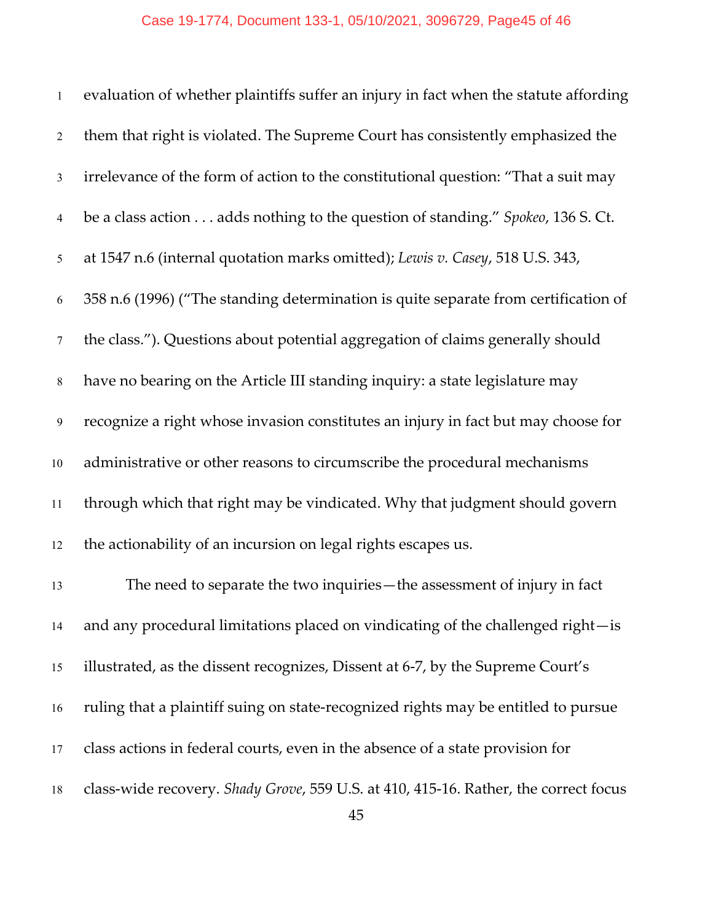| $\mathbf{1}$   | evaluation of whether plaintiffs suffer an injury in fact when the statute affording |
|----------------|--------------------------------------------------------------------------------------|
| $\overline{2}$ | them that right is violated. The Supreme Court has consistently emphasized the       |
| $\mathfrak{Z}$ | irrelevance of the form of action to the constitutional question: "That a suit may   |
| $\overline{4}$ | be a class action adds nothing to the question of standing." Spokeo, 136 S. Ct.      |
| 5              | at 1547 n.6 (internal quotation marks omitted); Lewis v. Casey, 518 U.S. 343,        |
| 6              | 358 n.6 (1996) ("The standing determination is quite separate from certification of  |
| $\tau$         | the class."). Questions about potential aggregation of claims generally should       |
| $8\,$          | have no bearing on the Article III standing inquiry: a state legislature may         |
| $\overline{9}$ | recognize a right whose invasion constitutes an injury in fact but may choose for    |
| $10\,$         | administrative or other reasons to circumscribe the procedural mechanisms            |
| 11             | through which that right may be vindicated. Why that judgment should govern          |
| 12             | the actionability of an incursion on legal rights escapes us.                        |
| 13             | The need to separate the two inquiries - the assessment of injury in fact            |
| 14             | and any procedural limitations placed on vindicating of the challenged right-is      |
| 15             | illustrated, as the dissent recognizes, Dissent at 6-7, by the Supreme Court's       |
| 16             | ruling that a plaintiff suing on state-recognized rights may be entitled to pursue   |
| 17             | class actions in federal courts, even in the absence of a state provision for        |
| 18             | class-wide recovery. Shady Grove, 559 U.S. at 410, 415-16. Rather, the correct focus |